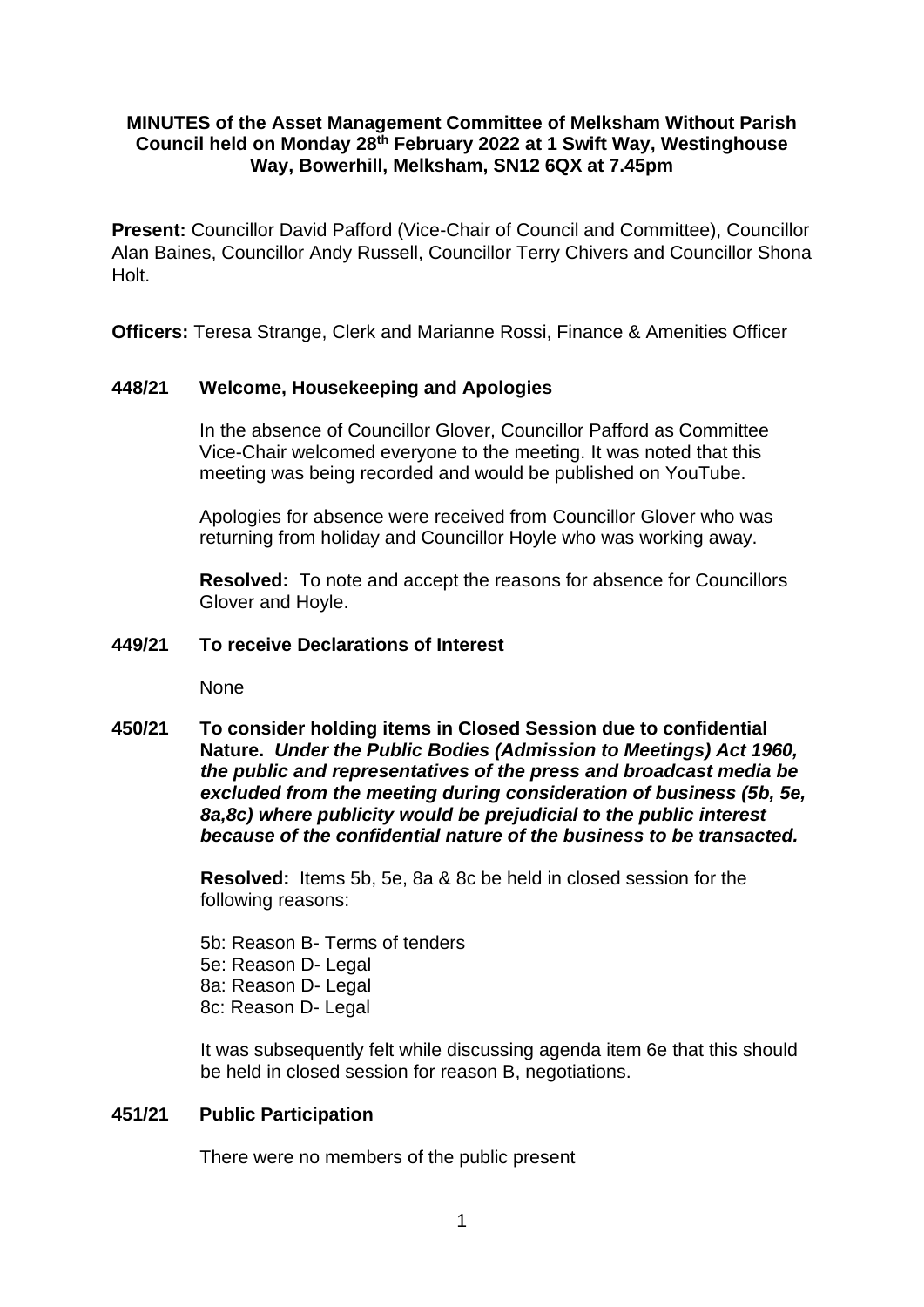# **MINUTES of the Asset Management Committee of Melksham Without Parish Council held on Monday 28th February 2022 at 1 Swift Way, Westinghouse Way, Bowerhill, Melksham, SN12 6QX at 7.45pm**

**Present:** Councillor David Pafford (Vice-Chair of Council and Committee), Councillor Alan Baines, Councillor Andy Russell, Councillor Terry Chivers and Councillor Shona Holt.

**Officers:** Teresa Strange, Clerk and Marianne Rossi, Finance & Amenities Officer

# **448/21 Welcome, Housekeeping and Apologies**

In the absence of Councillor Glover, Councillor Pafford as Committee Vice-Chair welcomed everyone to the meeting. It was noted that this meeting was being recorded and would be published on YouTube.

Apologies for absence were received from Councillor Glover who was returning from holiday and Councillor Hoyle who was working away.

**Resolved:** To note and accept the reasons for absence for Councillors Glover and Hoyle.

# **449/21 To receive Declarations of Interest**

None

**450/21 To consider holding items in Closed Session due to confidential Nature.** *Under the Public Bodies (Admission to Meetings) Act 1960, the public and representatives of the press and broadcast media be excluded from the meeting during consideration of business (5b, 5e, 8a,8c) where publicity would be prejudicial to the public interest because of the confidential nature of the business to be transacted.*

> **Resolved:** Items 5b, 5e, 8a & 8c be held in closed session for the following reasons:

5b: Reason B- Terms of tenders 5e: Reason D- Legal 8a: Reason D- Legal 8c: Reason D- Legal

It was subsequently felt while discussing agenda item 6e that this should be held in closed session for reason B, negotiations.

## **451/21 Public Participation**

There were no members of the public present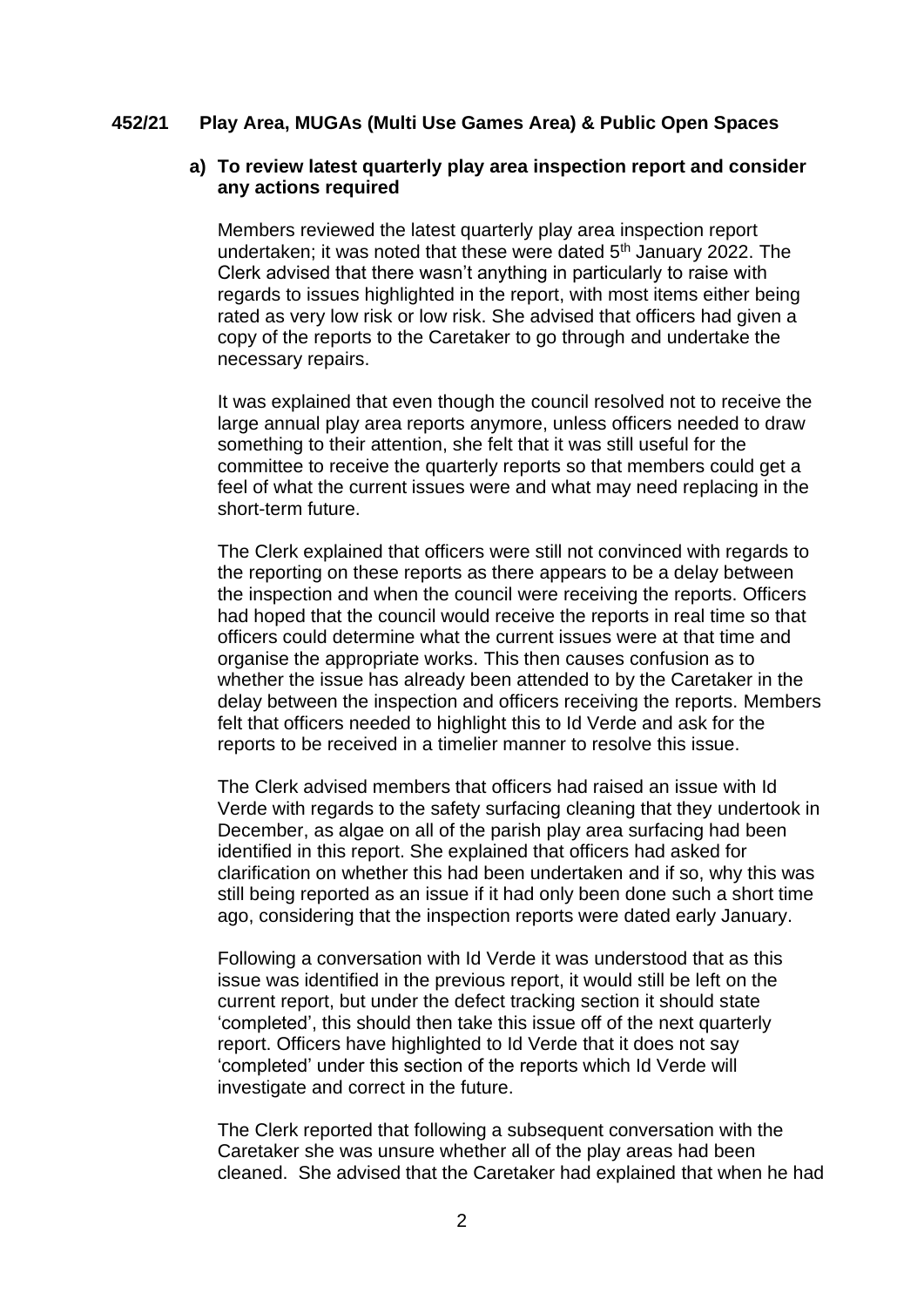## **452/21 Play Area, MUGAs (Multi Use Games Area) & Public Open Spaces**

## **a) To review latest quarterly play area inspection report and consider any actions required**

Members reviewed the latest quarterly play area inspection report undertaken; it was noted that these were dated  $5<sup>th</sup>$  January 2022. The Clerk advised that there wasn't anything in particularly to raise with regards to issues highlighted in the report, with most items either being rated as very low risk or low risk. She advised that officers had given a copy of the reports to the Caretaker to go through and undertake the necessary repairs.

It was explained that even though the council resolved not to receive the large annual play area reports anymore, unless officers needed to draw something to their attention, she felt that it was still useful for the committee to receive the quarterly reports so that members could get a feel of what the current issues were and what may need replacing in the short-term future.

The Clerk explained that officers were still not convinced with regards to the reporting on these reports as there appears to be a delay between the inspection and when the council were receiving the reports. Officers had hoped that the council would receive the reports in real time so that officers could determine what the current issues were at that time and organise the appropriate works. This then causes confusion as to whether the issue has already been attended to by the Caretaker in the delay between the inspection and officers receiving the reports. Members felt that officers needed to highlight this to Id Verde and ask for the reports to be received in a timelier manner to resolve this issue.

The Clerk advised members that officers had raised an issue with Id Verde with regards to the safety surfacing cleaning that they undertook in December, as algae on all of the parish play area surfacing had been identified in this report. She explained that officers had asked for clarification on whether this had been undertaken and if so, why this was still being reported as an issue if it had only been done such a short time ago, considering that the inspection reports were dated early January.

Following a conversation with Id Verde it was understood that as this issue was identified in the previous report, it would still be left on the current report, but under the defect tracking section it should state 'completed', this should then take this issue off of the next quarterly report. Officers have highlighted to Id Verde that it does not say 'completed' under this section of the reports which Id Verde will investigate and correct in the future.

The Clerk reported that following a subsequent conversation with the Caretaker she was unsure whether all of the play areas had been cleaned. She advised that the Caretaker had explained that when he had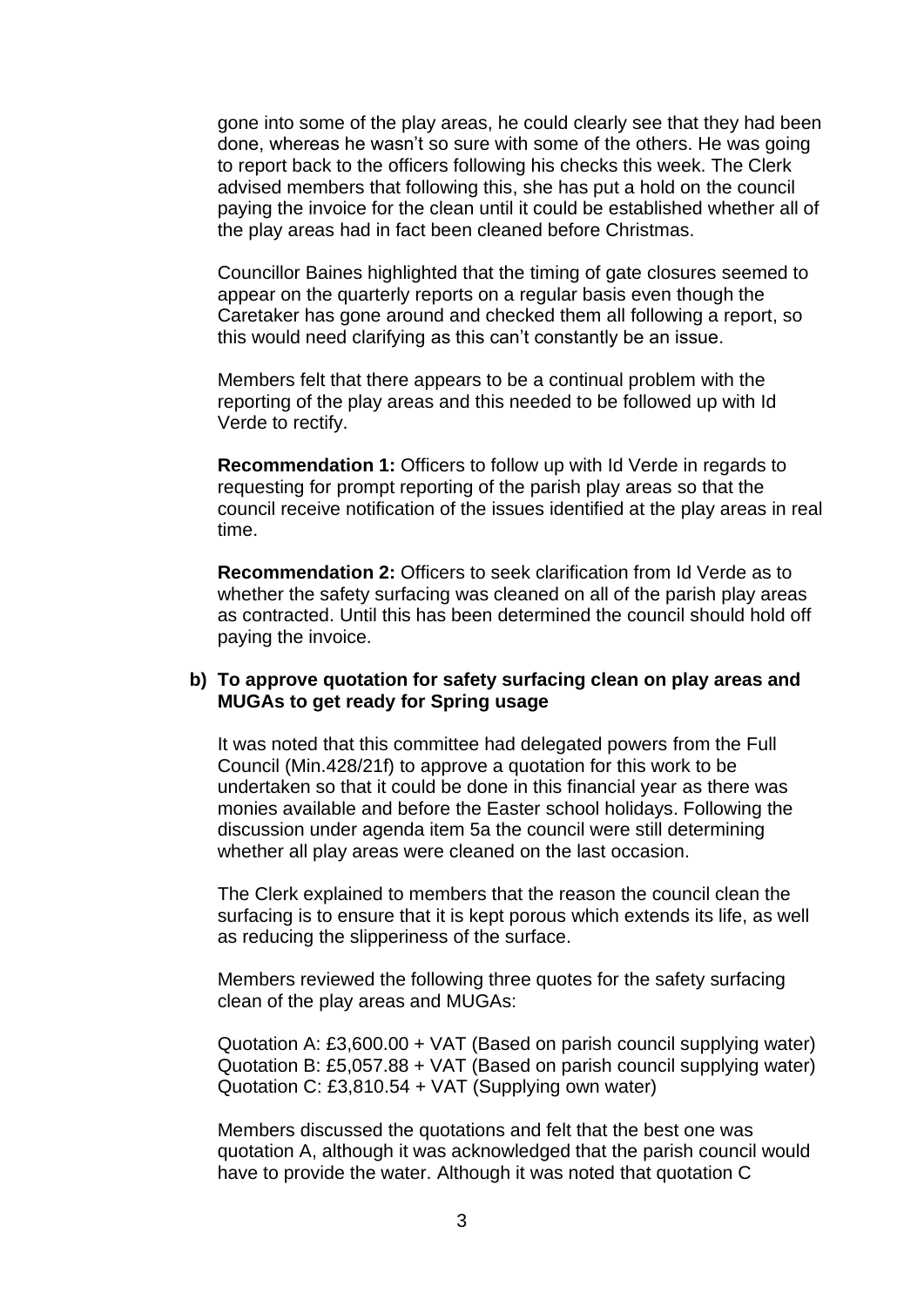gone into some of the play areas, he could clearly see that they had been done, whereas he wasn't so sure with some of the others. He was going to report back to the officers following his checks this week. The Clerk advised members that following this, she has put a hold on the council paying the invoice for the clean until it could be established whether all of the play areas had in fact been cleaned before Christmas.

Councillor Baines highlighted that the timing of gate closures seemed to appear on the quarterly reports on a regular basis even though the Caretaker has gone around and checked them all following a report, so this would need clarifying as this can't constantly be an issue.

Members felt that there appears to be a continual problem with the reporting of the play areas and this needed to be followed up with Id Verde to rectify.

**Recommendation 1:** Officers to follow up with Id Verde in regards to requesting for prompt reporting of the parish play areas so that the council receive notification of the issues identified at the play areas in real time.

**Recommendation 2:** Officers to seek clarification from Id Verde as to whether the safety surfacing was cleaned on all of the parish play areas as contracted. Until this has been determined the council should hold off paying the invoice.

#### **b) To approve quotation for safety surfacing clean on play areas and MUGAs to get ready for Spring usage**

It was noted that this committee had delegated powers from the Full Council (Min.428/21f) to approve a quotation for this work to be undertaken so that it could be done in this financial year as there was monies available and before the Easter school holidays. Following the discussion under agenda item 5a the council were still determining whether all play areas were cleaned on the last occasion.

The Clerk explained to members that the reason the council clean the surfacing is to ensure that it is kept porous which extends its life, as well as reducing the slipperiness of the surface.

Members reviewed the following three quotes for the safety surfacing clean of the play areas and MUGAs:

Quotation A: £3,600.00 + VAT (Based on parish council supplying water) Quotation B: £5,057.88 + VAT (Based on parish council supplying water) Quotation C: £3,810.54 + VAT (Supplying own water)

Members discussed the quotations and felt that the best one was quotation A, although it was acknowledged that the parish council would have to provide the water. Although it was noted that quotation C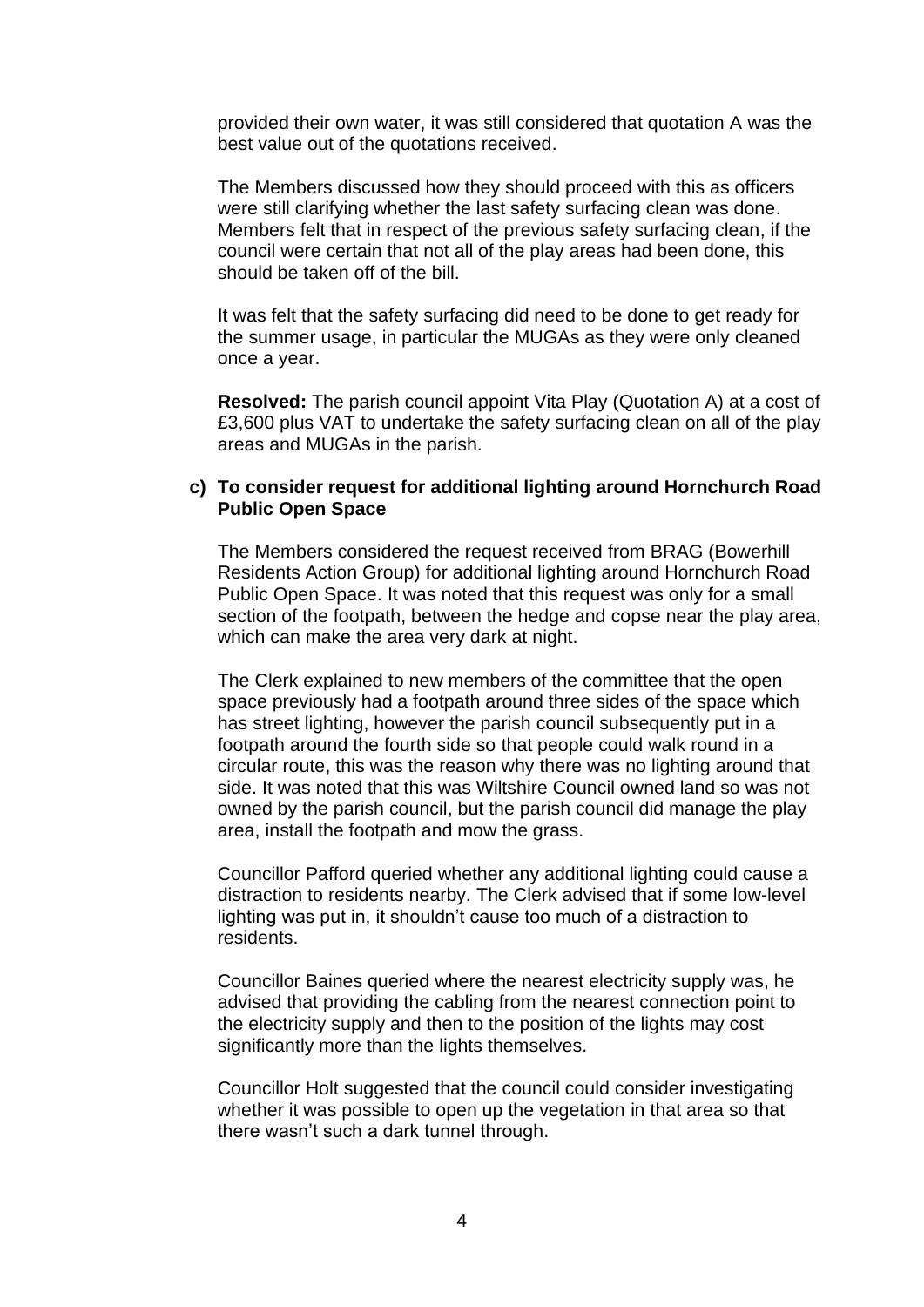provided their own water, it was still considered that quotation A was the best value out of the quotations received.

The Members discussed how they should proceed with this as officers were still clarifying whether the last safety surfacing clean was done. Members felt that in respect of the previous safety surfacing clean, if the council were certain that not all of the play areas had been done, this should be taken off of the bill.

It was felt that the safety surfacing did need to be done to get ready for the summer usage, in particular the MUGAs as they were only cleaned once a year.

**Resolved:** The parish council appoint Vita Play (Quotation A) at a cost of £3,600 plus VAT to undertake the safety surfacing clean on all of the play areas and MUGAs in the parish.

## **c) To consider request for additional lighting around Hornchurch Road Public Open Space**

The Members considered the request received from BRAG (Bowerhill Residents Action Group) for additional lighting around Hornchurch Road Public Open Space. It was noted that this request was only for a small section of the footpath, between the hedge and copse near the play area, which can make the area very dark at night.

The Clerk explained to new members of the committee that the open space previously had a footpath around three sides of the space which has street lighting, however the parish council subsequently put in a footpath around the fourth side so that people could walk round in a circular route, this was the reason why there was no lighting around that side. It was noted that this was Wiltshire Council owned land so was not owned by the parish council, but the parish council did manage the play area, install the footpath and mow the grass.

Councillor Pafford queried whether any additional lighting could cause a distraction to residents nearby. The Clerk advised that if some low-level lighting was put in, it shouldn't cause too much of a distraction to residents.

Councillor Baines queried where the nearest electricity supply was, he advised that providing the cabling from the nearest connection point to the electricity supply and then to the position of the lights may cost significantly more than the lights themselves.

Councillor Holt suggested that the council could consider investigating whether it was possible to open up the vegetation in that area so that there wasn't such a dark tunnel through.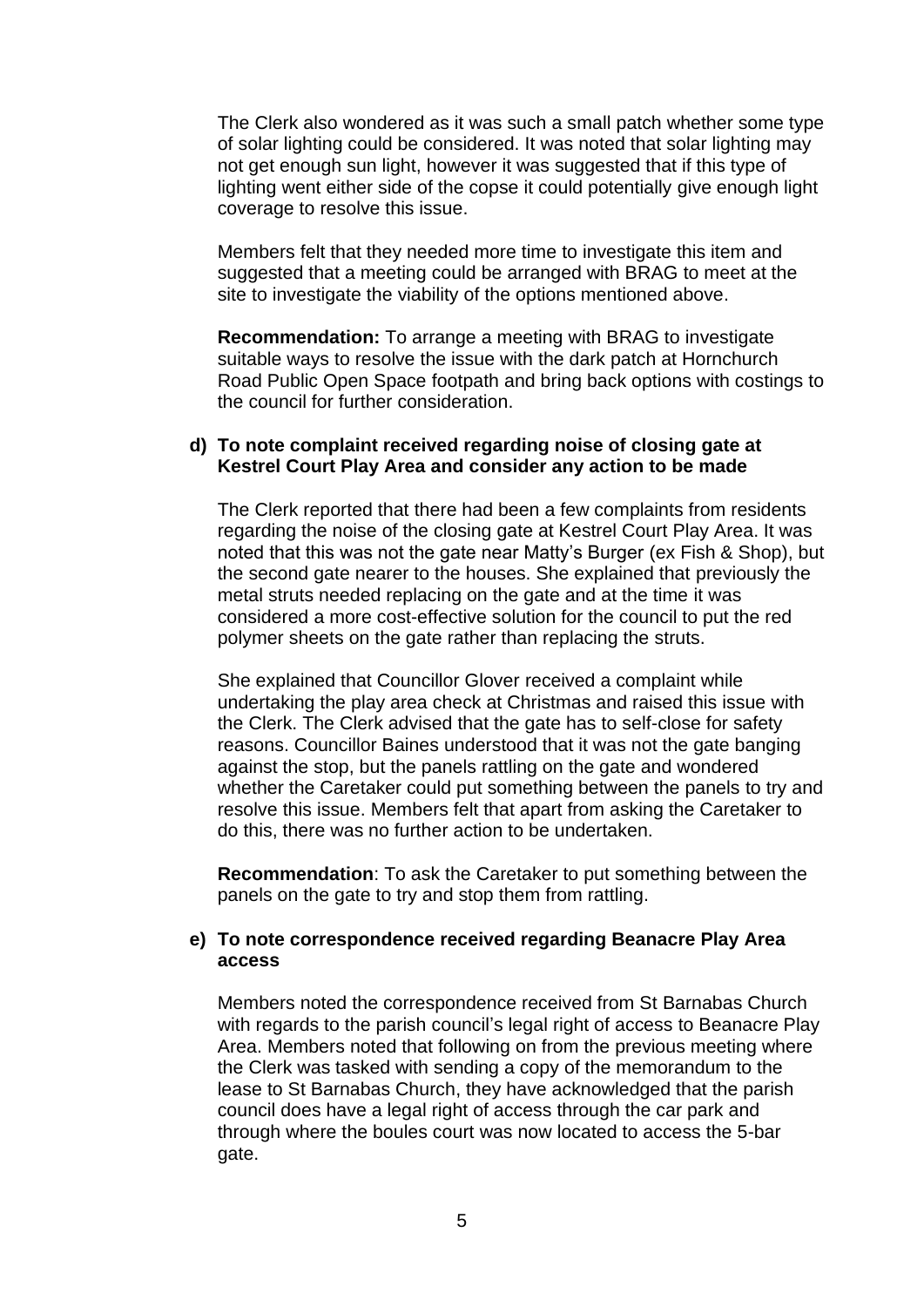The Clerk also wondered as it was such a small patch whether some type of solar lighting could be considered. It was noted that solar lighting may not get enough sun light, however it was suggested that if this type of lighting went either side of the copse it could potentially give enough light coverage to resolve this issue.

Members felt that they needed more time to investigate this item and suggested that a meeting could be arranged with BRAG to meet at the site to investigate the viability of the options mentioned above.

**Recommendation:** To arrange a meeting with BRAG to investigate suitable ways to resolve the issue with the dark patch at Hornchurch Road Public Open Space footpath and bring back options with costings to the council for further consideration.

# **d) To note complaint received regarding noise of closing gate at Kestrel Court Play Area and consider any action to be made**

The Clerk reported that there had been a few complaints from residents regarding the noise of the closing gate at Kestrel Court Play Area. It was noted that this was not the gate near Matty's Burger (ex Fish & Shop), but the second gate nearer to the houses. She explained that previously the metal struts needed replacing on the gate and at the time it was considered a more cost-effective solution for the council to put the red polymer sheets on the gate rather than replacing the struts.

She explained that Councillor Glover received a complaint while undertaking the play area check at Christmas and raised this issue with the Clerk. The Clerk advised that the gate has to self-close for safety reasons. Councillor Baines understood that it was not the gate banging against the stop, but the panels rattling on the gate and wondered whether the Caretaker could put something between the panels to try and resolve this issue. Members felt that apart from asking the Caretaker to do this, there was no further action to be undertaken.

**Recommendation**: To ask the Caretaker to put something between the panels on the gate to try and stop them from rattling.

# **e) To note correspondence received regarding Beanacre Play Area access**

Members noted the correspondence received from St Barnabas Church with regards to the parish council's legal right of access to Beanacre Play Area. Members noted that following on from the previous meeting where the Clerk was tasked with sending a copy of the memorandum to the lease to St Barnabas Church, they have acknowledged that the parish council does have a legal right of access through the car park and through where the boules court was now located to access the 5-bar gate.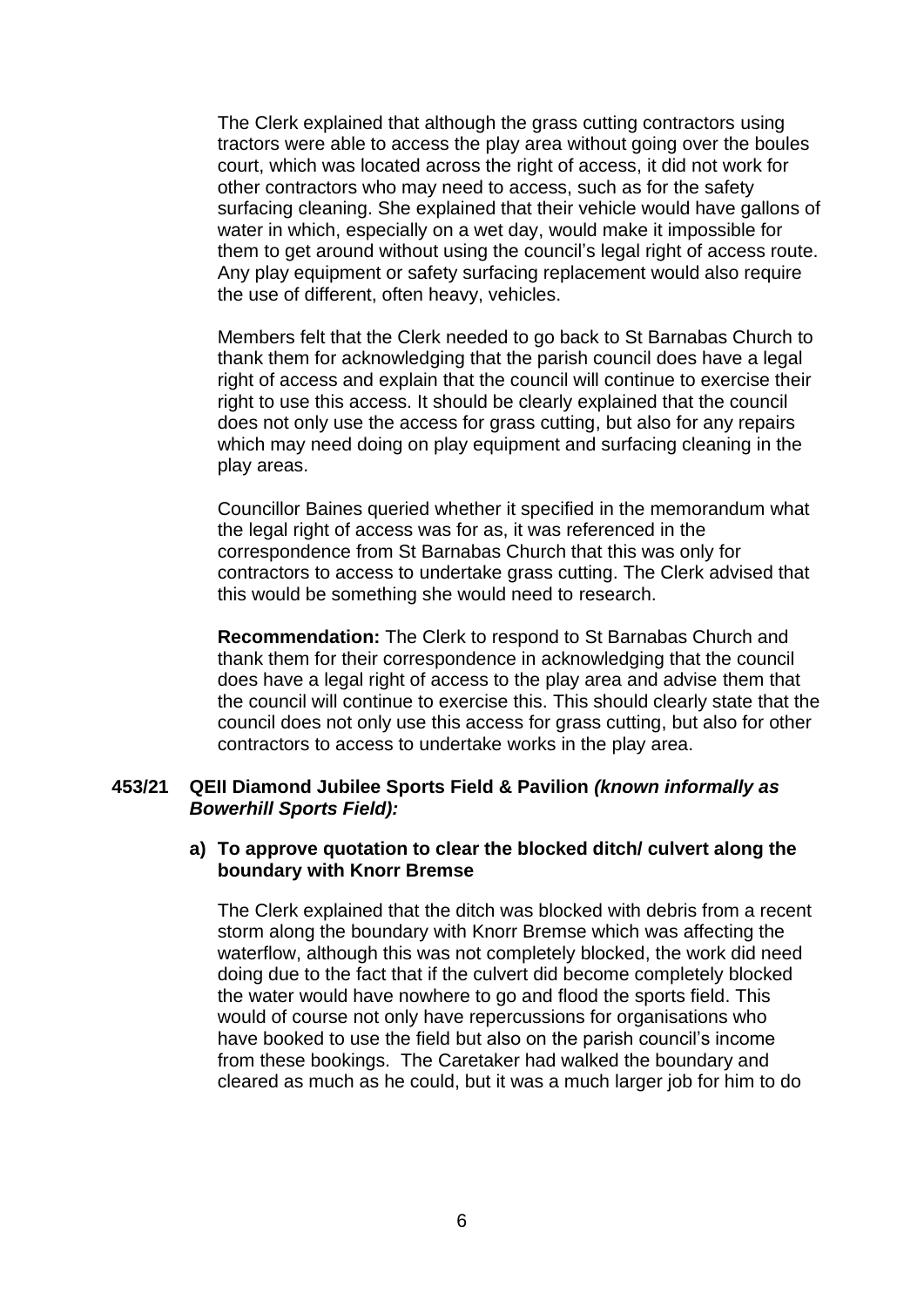The Clerk explained that although the grass cutting contractors using tractors were able to access the play area without going over the boules court, which was located across the right of access, it did not work for other contractors who may need to access, such as for the safety surfacing cleaning. She explained that their vehicle would have gallons of water in which, especially on a wet day, would make it impossible for them to get around without using the council's legal right of access route. Any play equipment or safety surfacing replacement would also require the use of different, often heavy, vehicles.

Members felt that the Clerk needed to go back to St Barnabas Church to thank them for acknowledging that the parish council does have a legal right of access and explain that the council will continue to exercise their right to use this access. It should be clearly explained that the council does not only use the access for grass cutting, but also for any repairs which may need doing on play equipment and surfacing cleaning in the play areas.

Councillor Baines queried whether it specified in the memorandum what the legal right of access was for as, it was referenced in the correspondence from St Barnabas Church that this was only for contractors to access to undertake grass cutting. The Clerk advised that this would be something she would need to research.

**Recommendation:** The Clerk to respond to St Barnabas Church and thank them for their correspondence in acknowledging that the council does have a legal right of access to the play area and advise them that the council will continue to exercise this. This should clearly state that the council does not only use this access for grass cutting, but also for other contractors to access to undertake works in the play area.

## **453/21 QEII Diamond Jubilee Sports Field & Pavilion** *(known informally as Bowerhill Sports Field):*

## **a) To approve quotation to clear the blocked ditch/ culvert along the boundary with Knorr Bremse**

The Clerk explained that the ditch was blocked with debris from a recent storm along the boundary with Knorr Bremse which was affecting the waterflow, although this was not completely blocked, the work did need doing due to the fact that if the culvert did become completely blocked the water would have nowhere to go and flood the sports field. This would of course not only have repercussions for organisations who have booked to use the field but also on the parish council's income from these bookings. The Caretaker had walked the boundary and cleared as much as he could, but it was a much larger job for him to do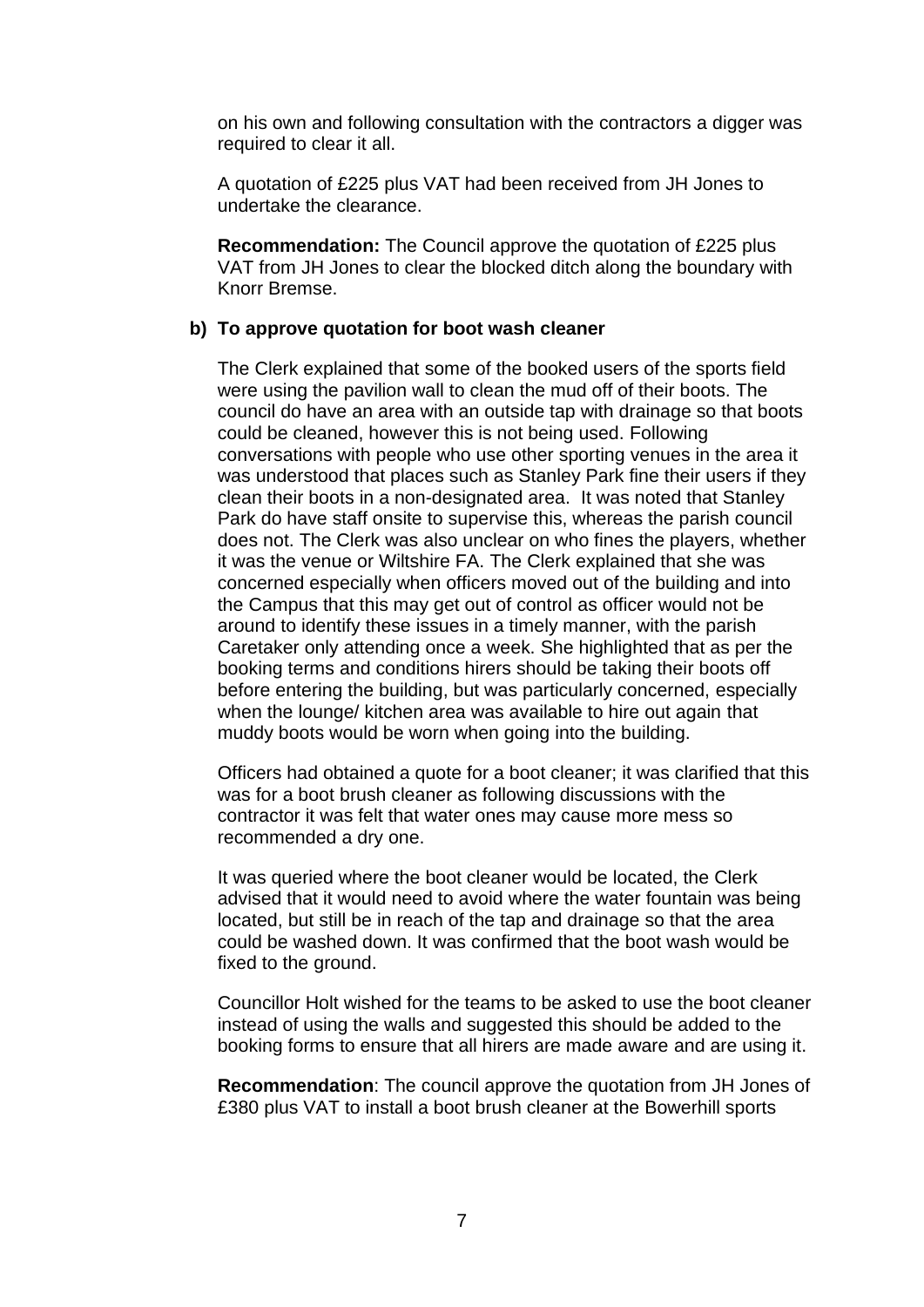on his own and following consultation with the contractors a digger was required to clear it all.

A quotation of £225 plus VAT had been received from JH Jones to undertake the clearance.

**Recommendation:** The Council approve the quotation of £225 plus VAT from JH Jones to clear the blocked ditch along the boundary with Knorr Bremse.

## **b) To approve quotation for boot wash cleaner**

The Clerk explained that some of the booked users of the sports field were using the pavilion wall to clean the mud off of their boots. The council do have an area with an outside tap with drainage so that boots could be cleaned, however this is not being used. Following conversations with people who use other sporting venues in the area it was understood that places such as Stanley Park fine their users if they clean their boots in a non-designated area. It was noted that Stanley Park do have staff onsite to supervise this, whereas the parish council does not. The Clerk was also unclear on who fines the players, whether it was the venue or Wiltshire FA. The Clerk explained that she was concerned especially when officers moved out of the building and into the Campus that this may get out of control as officer would not be around to identify these issues in a timely manner, with the parish Caretaker only attending once a week. She highlighted that as per the booking terms and conditions hirers should be taking their boots off before entering the building, but was particularly concerned, especially when the lounge/ kitchen area was available to hire out again that muddy boots would be worn when going into the building.

Officers had obtained a quote for a boot cleaner; it was clarified that this was for a boot brush cleaner as following discussions with the contractor it was felt that water ones may cause more mess so recommended a dry one.

It was queried where the boot cleaner would be located, the Clerk advised that it would need to avoid where the water fountain was being located, but still be in reach of the tap and drainage so that the area could be washed down. It was confirmed that the boot wash would be fixed to the ground.

Councillor Holt wished for the teams to be asked to use the boot cleaner instead of using the walls and suggested this should be added to the booking forms to ensure that all hirers are made aware and are using it.

**Recommendation**: The council approve the quotation from JH Jones of £380 plus VAT to install a boot brush cleaner at the Bowerhill sports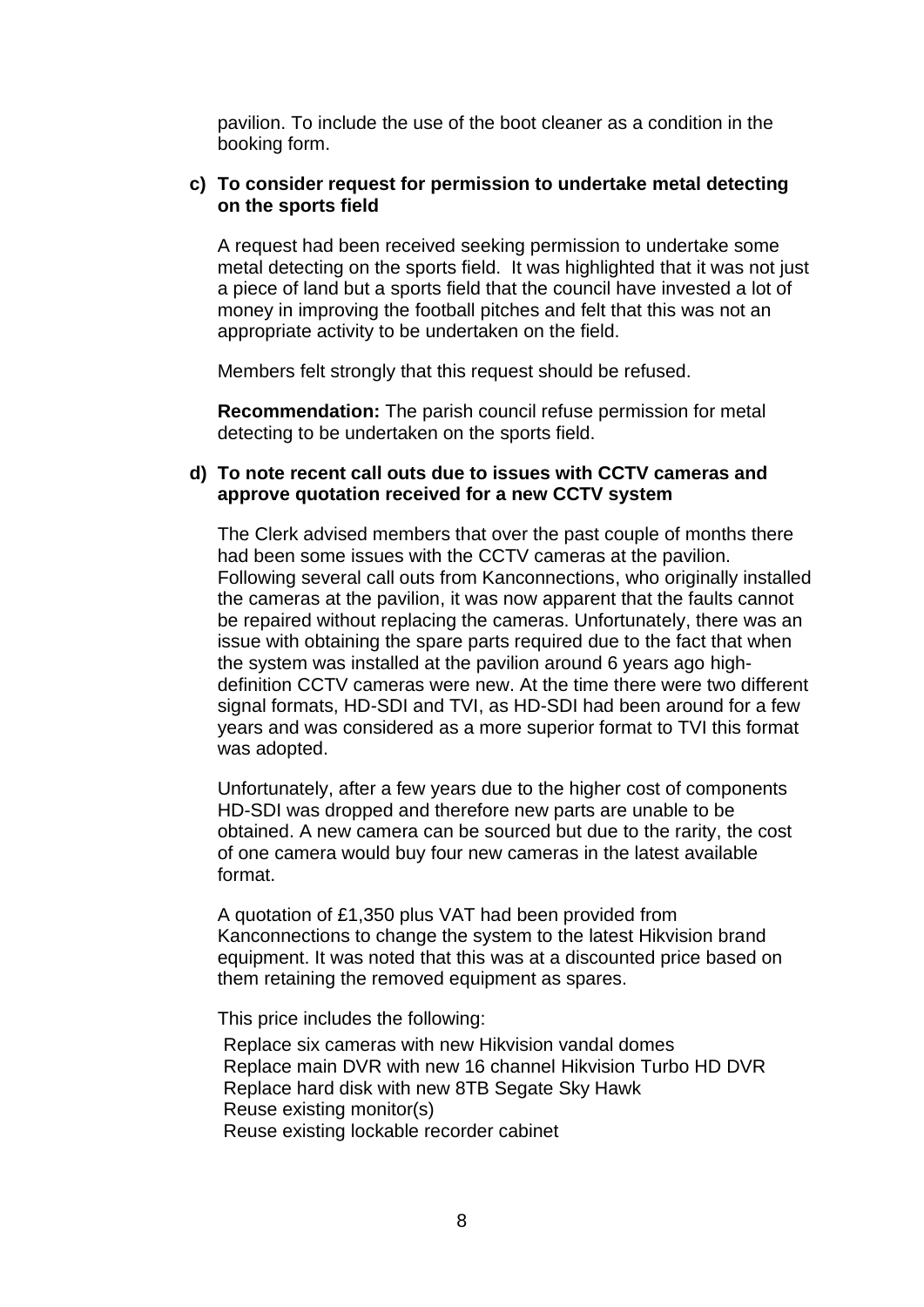pavilion. To include the use of the boot cleaner as a condition in the booking form.

# **c) To consider request for permission to undertake metal detecting on the sports field**

A request had been received seeking permission to undertake some metal detecting on the sports field. It was highlighted that it was not just a piece of land but a sports field that the council have invested a lot of money in improving the football pitches and felt that this was not an appropriate activity to be undertaken on the field.

Members felt strongly that this request should be refused.

**Recommendation:** The parish council refuse permission for metal detecting to be undertaken on the sports field.

## **d) To note recent call outs due to issues with CCTV cameras and approve quotation received for a new CCTV system**

The Clerk advised members that over the past couple of months there had been some issues with the CCTV cameras at the pavilion. Following several call outs from Kanconnections, who originally installed the cameras at the pavilion, it was now apparent that the faults cannot be repaired without replacing the cameras. Unfortunately, there was an issue with obtaining the spare parts required due to the fact that when the system was installed at the pavilion around 6 years ago highdefinition CCTV cameras were new. At the time there were two different signal formats, HD-SDI and TVI, as HD-SDI had been around for a few years and was considered as a more superior format to TVI this format was adopted.

Unfortunately, after a few years due to the higher cost of components HD-SDI was dropped and therefore new parts are unable to be obtained. A new camera can be sourced but due to the rarity, the cost of one camera would buy four new cameras in the latest available format.

A quotation of £1,350 plus VAT had been provided from Kanconnections to change the system to the latest Hikvision brand equipment. It was noted that this was at a discounted price based on them retaining the removed equipment as spares.

This price includes the following:

Replace six cameras with new Hikvision vandal domes Replace main DVR with new 16 channel Hikvision Turbo HD DVR Replace hard disk with new 8TB Segate Sky Hawk Reuse existing monitor(s) Reuse existing lockable recorder cabinet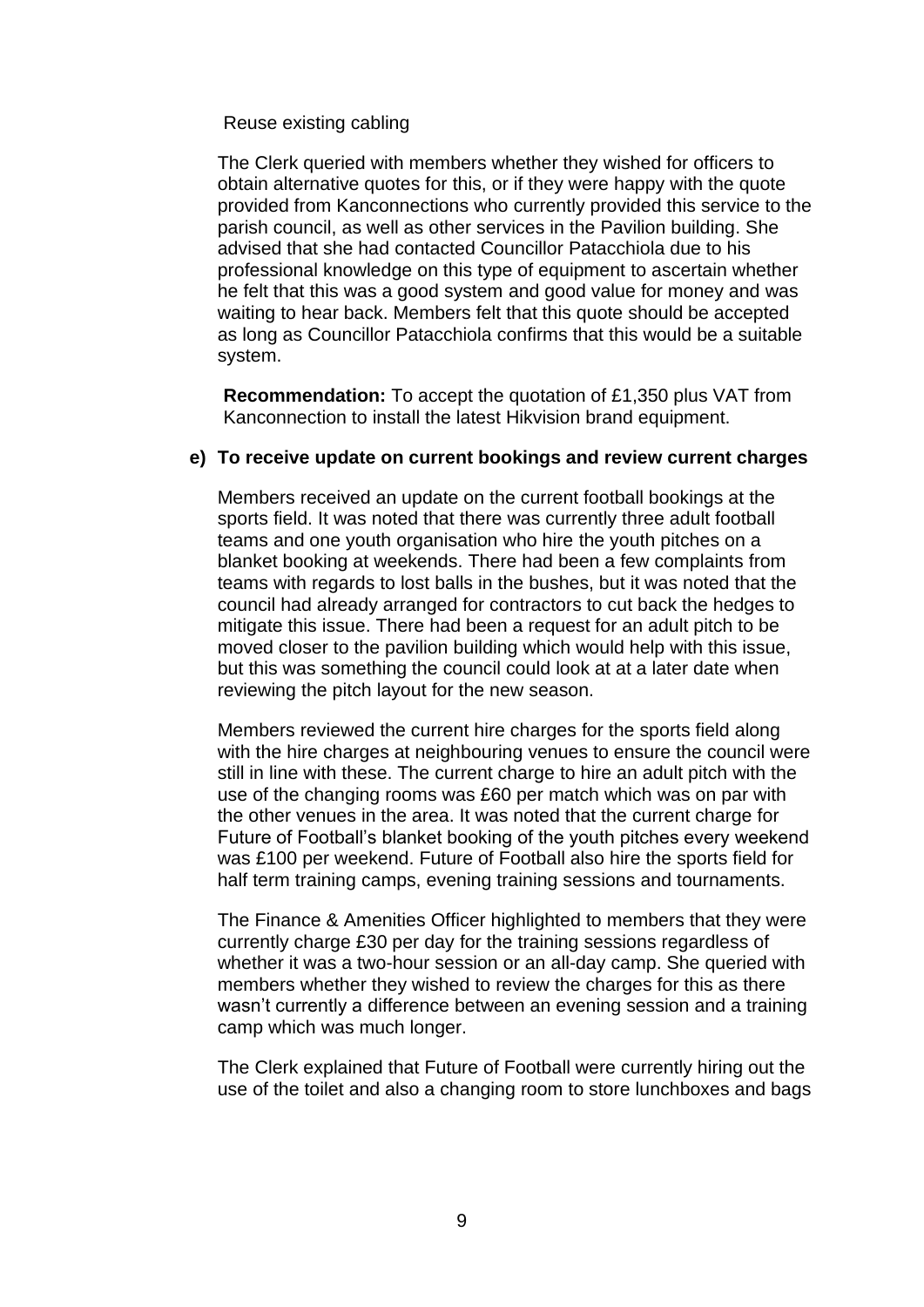Reuse existing cabling

The Clerk queried with members whether they wished for officers to obtain alternative quotes for this, or if they were happy with the quote provided from Kanconnections who currently provided this service to the parish council, as well as other services in the Pavilion building. She advised that she had contacted Councillor Patacchiola due to his professional knowledge on this type of equipment to ascertain whether he felt that this was a good system and good value for money and was waiting to hear back. Members felt that this quote should be accepted as long as Councillor Patacchiola confirms that this would be a suitable system.

**Recommendation:** To accept the quotation of £1,350 plus VAT from Kanconnection to install the latest Hikvision brand equipment.

# **e) To receive update on current bookings and review current charges**

Members received an update on the current football bookings at the sports field. It was noted that there was currently three adult football teams and one youth organisation who hire the youth pitches on a blanket booking at weekends. There had been a few complaints from teams with regards to lost balls in the bushes, but it was noted that the council had already arranged for contractors to cut back the hedges to mitigate this issue. There had been a request for an adult pitch to be moved closer to the pavilion building which would help with this issue, but this was something the council could look at at a later date when reviewing the pitch layout for the new season.

Members reviewed the current hire charges for the sports field along with the hire charges at neighbouring venues to ensure the council were still in line with these. The current charge to hire an adult pitch with the use of the changing rooms was £60 per match which was on par with the other venues in the area. It was noted that the current charge for Future of Football's blanket booking of the youth pitches every weekend was £100 per weekend. Future of Football also hire the sports field for half term training camps, evening training sessions and tournaments.

The Finance & Amenities Officer highlighted to members that they were currently charge £30 per day for the training sessions regardless of whether it was a two-hour session or an all-day camp. She queried with members whether they wished to review the charges for this as there wasn't currently a difference between an evening session and a training camp which was much longer.

The Clerk explained that Future of Football were currently hiring out the use of the toilet and also a changing room to store lunchboxes and bags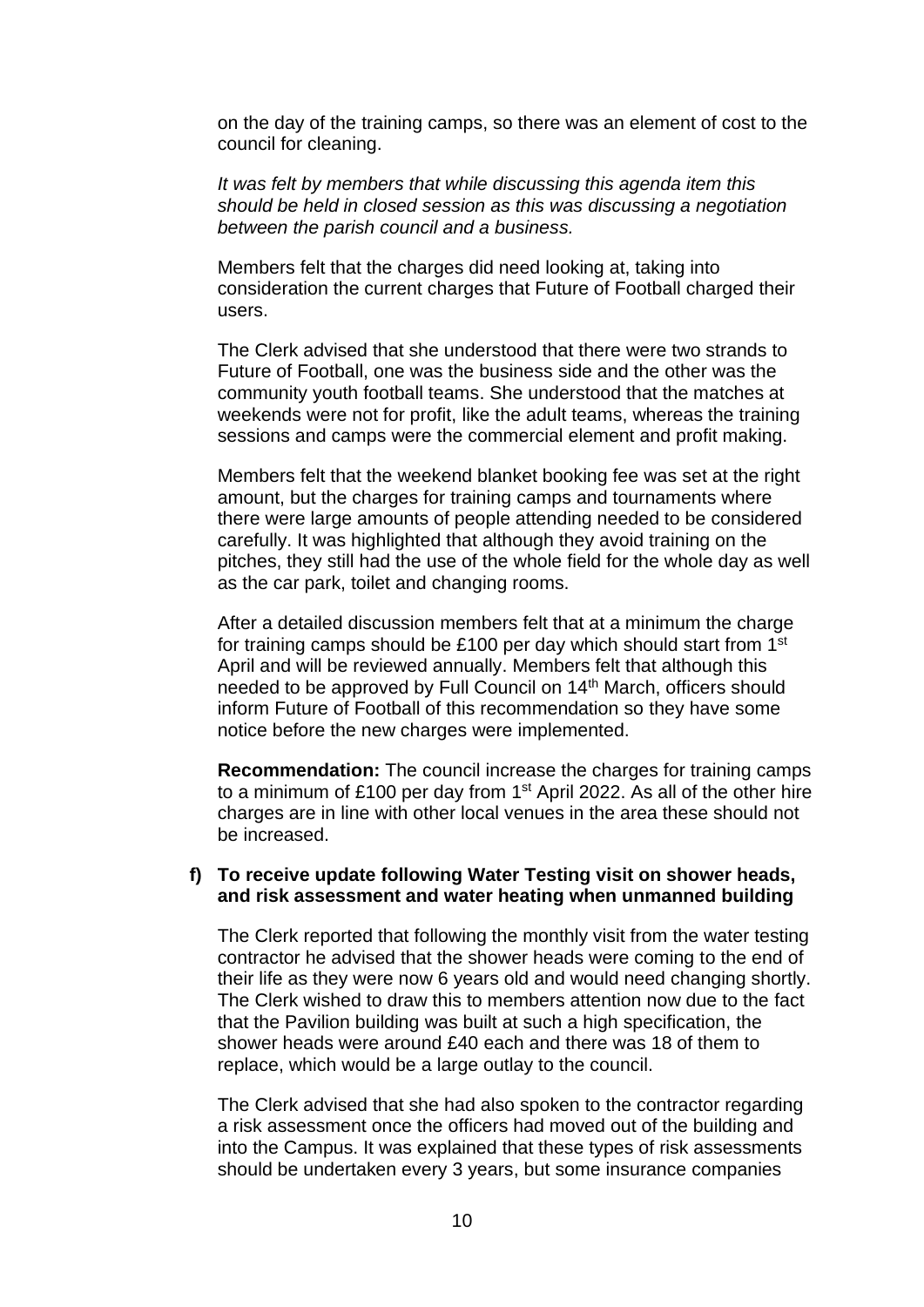on the day of the training camps, so there was an element of cost to the council for cleaning.

*It was felt by members that while discussing this agenda item this should be held in closed session as this was discussing a negotiation between the parish council and a business.* 

Members felt that the charges did need looking at, taking into consideration the current charges that Future of Football charged their users.

The Clerk advised that she understood that there were two strands to Future of Football, one was the business side and the other was the community youth football teams. She understood that the matches at weekends were not for profit, like the adult teams, whereas the training sessions and camps were the commercial element and profit making.

Members felt that the weekend blanket booking fee was set at the right amount, but the charges for training camps and tournaments where there were large amounts of people attending needed to be considered carefully. It was highlighted that although they avoid training on the pitches, they still had the use of the whole field for the whole day as well as the car park, toilet and changing rooms.

After a detailed discussion members felt that at a minimum the charge for training camps should be £100 per day which should start from 1<sup>st</sup> April and will be reviewed annually. Members felt that although this needed to be approved by Full Council on 14<sup>th</sup> March, officers should inform Future of Football of this recommendation so they have some notice before the new charges were implemented.

**Recommendation:** The council increase the charges for training camps to a minimum of £100 per day from 1<sup>st</sup> April 2022. As all of the other hire charges are in line with other local venues in the area these should not be increased.

# **f) To receive update following Water Testing visit on shower heads, and risk assessment and water heating when unmanned building**

The Clerk reported that following the monthly visit from the water testing contractor he advised that the shower heads were coming to the end of their life as they were now 6 years old and would need changing shortly. The Clerk wished to draw this to members attention now due to the fact that the Pavilion building was built at such a high specification, the shower heads were around £40 each and there was 18 of them to replace, which would be a large outlay to the council.

The Clerk advised that she had also spoken to the contractor regarding a risk assessment once the officers had moved out of the building and into the Campus. It was explained that these types of risk assessments should be undertaken every 3 years, but some insurance companies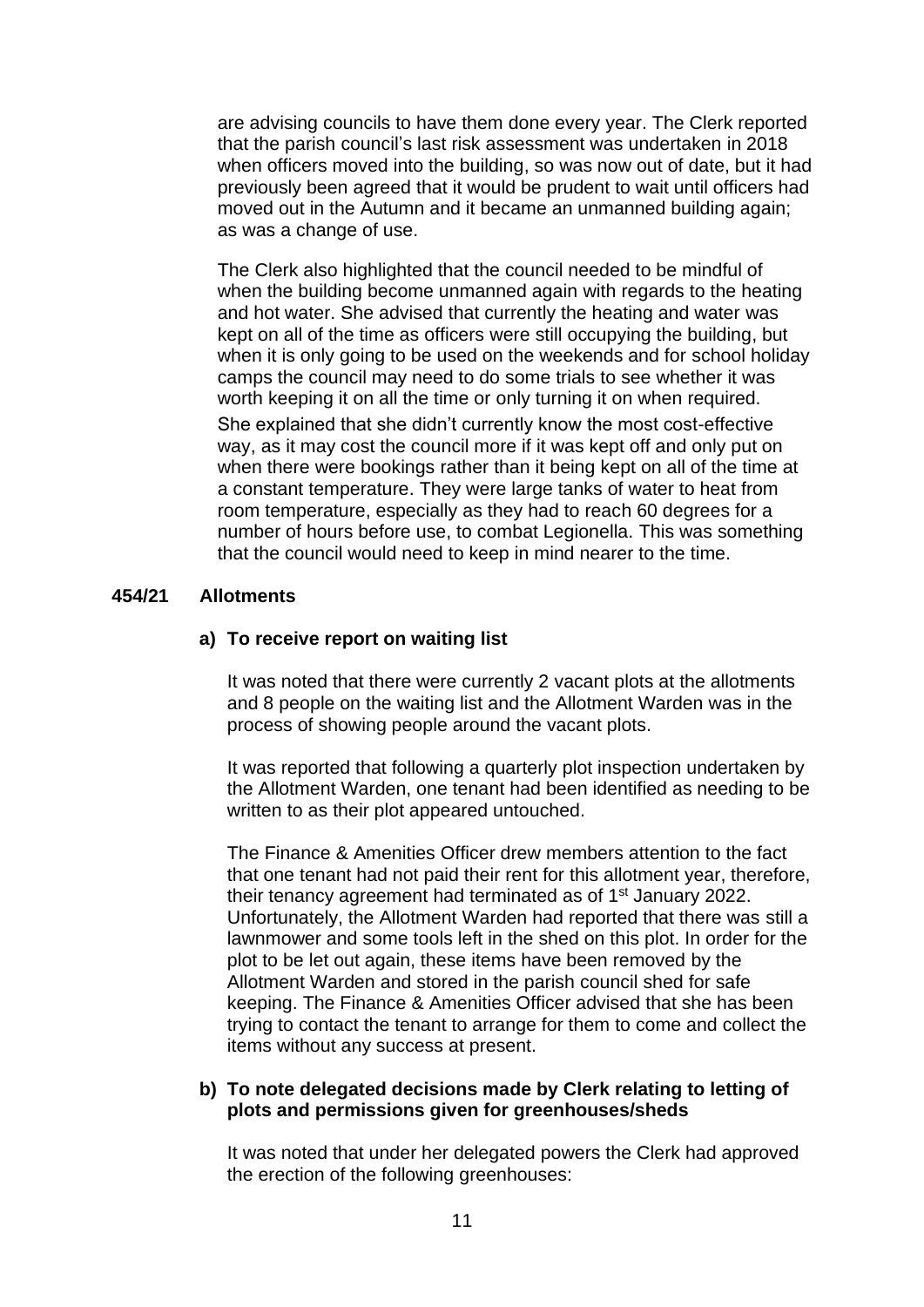are advising councils to have them done every year. The Clerk reported that the parish council's last risk assessment was undertaken in 2018 when officers moved into the building, so was now out of date, but it had previously been agreed that it would be prudent to wait until officers had moved out in the Autumn and it became an unmanned building again; as was a change of use.

The Clerk also highlighted that the council needed to be mindful of when the building become unmanned again with regards to the heating and hot water. She advised that currently the heating and water was kept on all of the time as officers were still occupying the building, but when it is only going to be used on the weekends and for school holiday camps the council may need to do some trials to see whether it was worth keeping it on all the time or only turning it on when required. She explained that she didn't currently know the most cost-effective way, as it may cost the council more if it was kept off and only put on when there were bookings rather than it being kept on all of the time at a constant temperature. They were large tanks of water to heat from room temperature, especially as they had to reach 60 degrees for a number of hours before use, to combat Legionella. This was something that the council would need to keep in mind nearer to the time.

# **454/21 Allotments**

# **a) To receive report on waiting list**

It was noted that there were currently 2 vacant plots at the allotments and 8 people on the waiting list and the Allotment Warden was in the process of showing people around the vacant plots.

It was reported that following a quarterly plot inspection undertaken by the Allotment Warden, one tenant had been identified as needing to be written to as their plot appeared untouched.

The Finance & Amenities Officer drew members attention to the fact that one tenant had not paid their rent for this allotment year, therefore, their tenancy agreement had terminated as of 1st January 2022. Unfortunately, the Allotment Warden had reported that there was still a lawnmower and some tools left in the shed on this plot. In order for the plot to be let out again, these items have been removed by the Allotment Warden and stored in the parish council shed for safe keeping. The Finance & Amenities Officer advised that she has been trying to contact the tenant to arrange for them to come and collect the items without any success at present.

# **b) To note delegated decisions made by Clerk relating to letting of plots and permissions given for greenhouses/sheds**

It was noted that under her delegated powers the Clerk had approved the erection of the following greenhouses: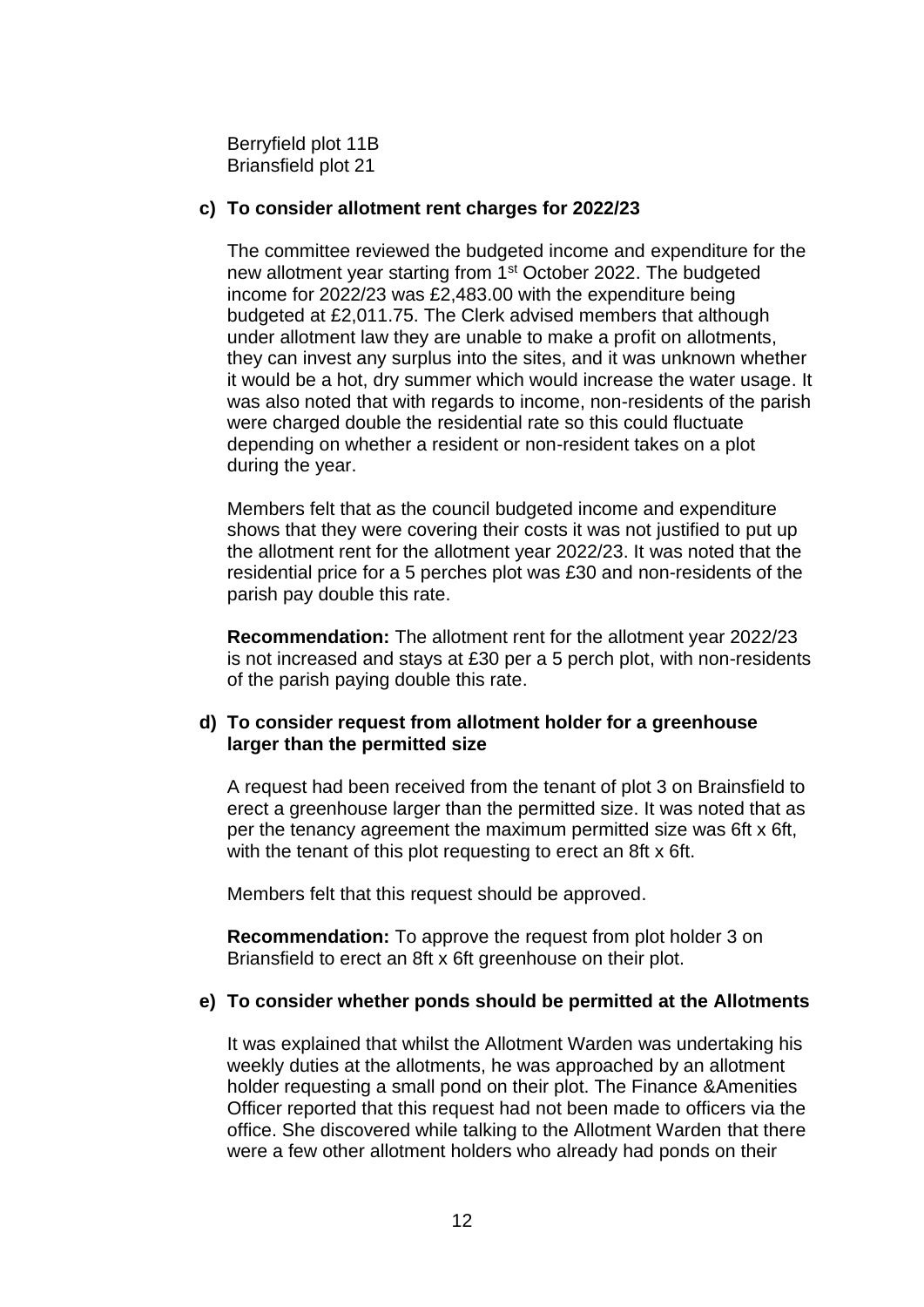Berryfield plot 11B Briansfield plot 21

# **c) To consider allotment rent charges for 2022/23**

The committee reviewed the budgeted income and expenditure for the new allotment year starting from 1<sup>st</sup> October 2022. The budgeted income for 2022/23 was £2,483.00 with the expenditure being budgeted at £2,011.75. The Clerk advised members that although under allotment law they are unable to make a profit on allotments, they can invest any surplus into the sites, and it was unknown whether it would be a hot, dry summer which would increase the water usage. It was also noted that with regards to income, non-residents of the parish were charged double the residential rate so this could fluctuate depending on whether a resident or non-resident takes on a plot during the year.

Members felt that as the council budgeted income and expenditure shows that they were covering their costs it was not justified to put up the allotment rent for the allotment year 2022/23. It was noted that the residential price for a 5 perches plot was £30 and non-residents of the parish pay double this rate.

**Recommendation:** The allotment rent for the allotment year 2022/23 is not increased and stays at £30 per a 5 perch plot, with non-residents of the parish paying double this rate.

# **d) To consider request from allotment holder for a greenhouse larger than the permitted size**

A request had been received from the tenant of plot 3 on Brainsfield to erect a greenhouse larger than the permitted size. It was noted that as per the tenancy agreement the maximum permitted size was 6ft x 6ft, with the tenant of this plot requesting to erect an 8ft x 6ft.

Members felt that this request should be approved.

**Recommendation:** To approve the request from plot holder 3 on Briansfield to erect an 8ft x 6ft greenhouse on their plot.

# **e) To consider whether ponds should be permitted at the Allotments**

It was explained that whilst the Allotment Warden was undertaking his weekly duties at the allotments, he was approached by an allotment holder requesting a small pond on their plot. The Finance &Amenities Officer reported that this request had not been made to officers via the office. She discovered while talking to the Allotment Warden that there were a few other allotment holders who already had ponds on their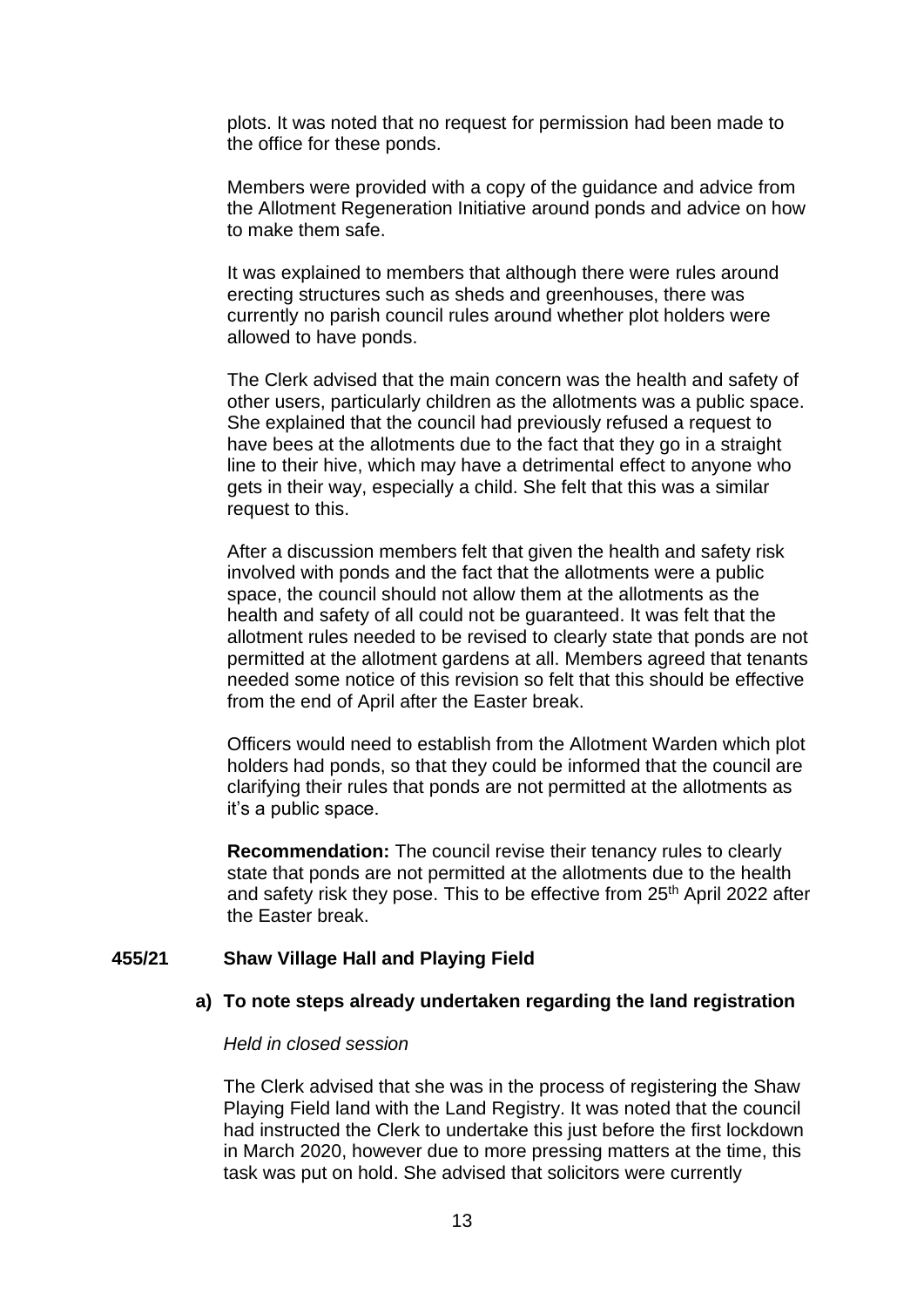plots. It was noted that no request for permission had been made to the office for these ponds.

Members were provided with a copy of the guidance and advice from the Allotment Regeneration Initiative around ponds and advice on how to make them safe.

It was explained to members that although there were rules around erecting structures such as sheds and greenhouses, there was currently no parish council rules around whether plot holders were allowed to have ponds.

The Clerk advised that the main concern was the health and safety of other users, particularly children as the allotments was a public space. She explained that the council had previously refused a request to have bees at the allotments due to the fact that they go in a straight line to their hive, which may have a detrimental effect to anyone who gets in their way, especially a child. She felt that this was a similar request to this.

After a discussion members felt that given the health and safety risk involved with ponds and the fact that the allotments were a public space, the council should not allow them at the allotments as the health and safety of all could not be guaranteed. It was felt that the allotment rules needed to be revised to clearly state that ponds are not permitted at the allotment gardens at all. Members agreed that tenants needed some notice of this revision so felt that this should be effective from the end of April after the Easter break.

Officers would need to establish from the Allotment Warden which plot holders had ponds, so that they could be informed that the council are clarifying their rules that ponds are not permitted at the allotments as it's a public space.

**Recommendation:** The council revise their tenancy rules to clearly state that ponds are not permitted at the allotments due to the health and safety risk they pose. This to be effective from 25<sup>th</sup> April 2022 after the Easter break.

## **455/21 Shaw Village Hall and Playing Field**

# **a) To note steps already undertaken regarding the land registration**

## *Held in closed session*

The Clerk advised that she was in the process of registering the Shaw Playing Field land with the Land Registry. It was noted that the council had instructed the Clerk to undertake this just before the first lockdown in March 2020, however due to more pressing matters at the time, this task was put on hold. She advised that solicitors were currently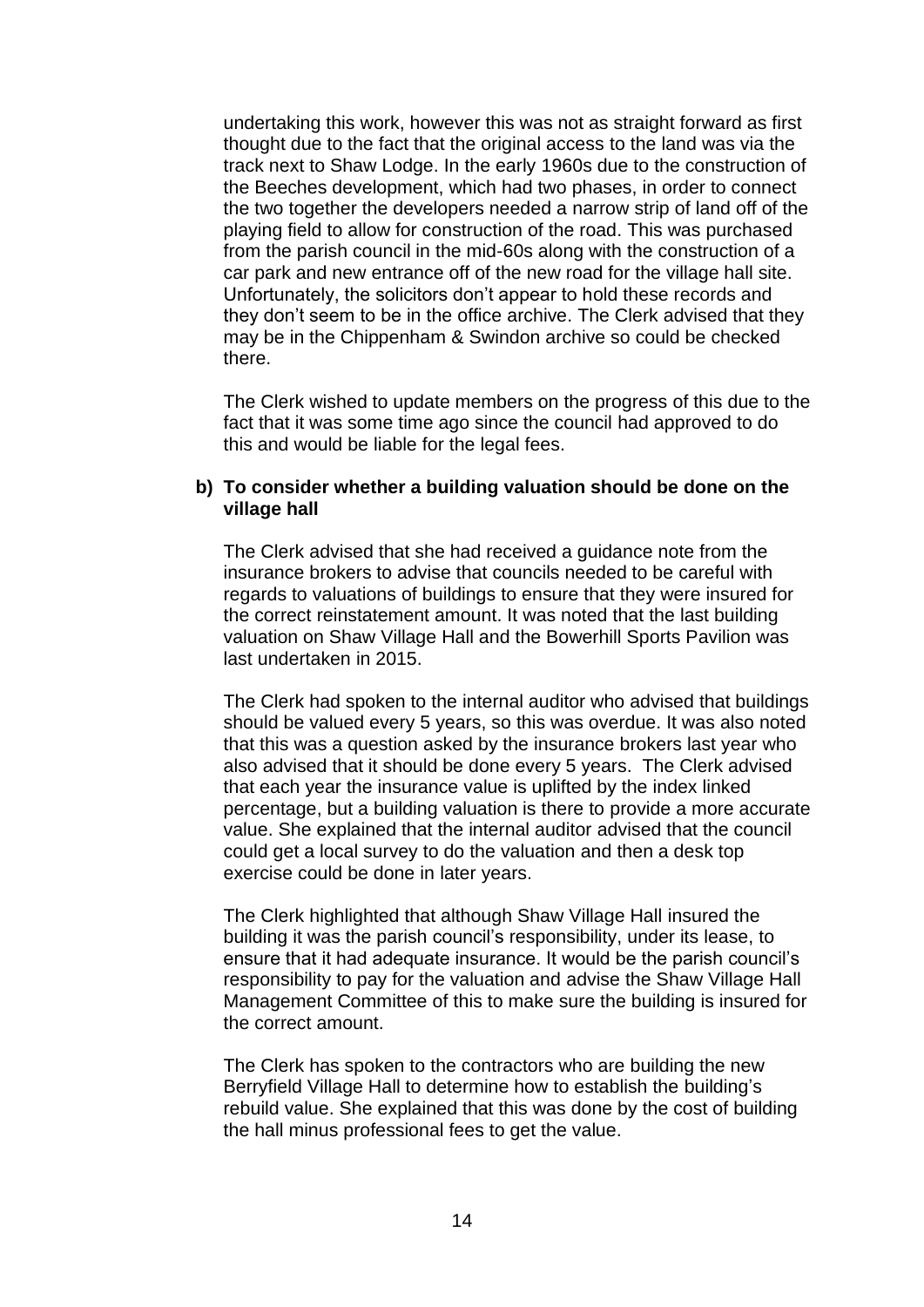undertaking this work, however this was not as straight forward as first thought due to the fact that the original access to the land was via the track next to Shaw Lodge. In the early 1960s due to the construction of the Beeches development, which had two phases, in order to connect the two together the developers needed a narrow strip of land off of the playing field to allow for construction of the road. This was purchased from the parish council in the mid-60s along with the construction of a car park and new entrance off of the new road for the village hall site. Unfortunately, the solicitors don't appear to hold these records and they don't seem to be in the office archive. The Clerk advised that they may be in the Chippenham & Swindon archive so could be checked there.

The Clerk wished to update members on the progress of this due to the fact that it was some time ago since the council had approved to do this and would be liable for the legal fees.

# **b) To consider whether a building valuation should be done on the village hall**

The Clerk advised that she had received a guidance note from the insurance brokers to advise that councils needed to be careful with regards to valuations of buildings to ensure that they were insured for the correct reinstatement amount. It was noted that the last building valuation on Shaw Village Hall and the Bowerhill Sports Pavilion was last undertaken in 2015.

The Clerk had spoken to the internal auditor who advised that buildings should be valued every 5 years, so this was overdue. It was also noted that this was a question asked by the insurance brokers last year who also advised that it should be done every 5 years. The Clerk advised that each year the insurance value is uplifted by the index linked percentage, but a building valuation is there to provide a more accurate value. She explained that the internal auditor advised that the council could get a local survey to do the valuation and then a desk top exercise could be done in later years.

The Clerk highlighted that although Shaw Village Hall insured the building it was the parish council's responsibility, under its lease, to ensure that it had adequate insurance. It would be the parish council's responsibility to pay for the valuation and advise the Shaw Village Hall Management Committee of this to make sure the building is insured for the correct amount.

The Clerk has spoken to the contractors who are building the new Berryfield Village Hall to determine how to establish the building's rebuild value. She explained that this was done by the cost of building the hall minus professional fees to get the value.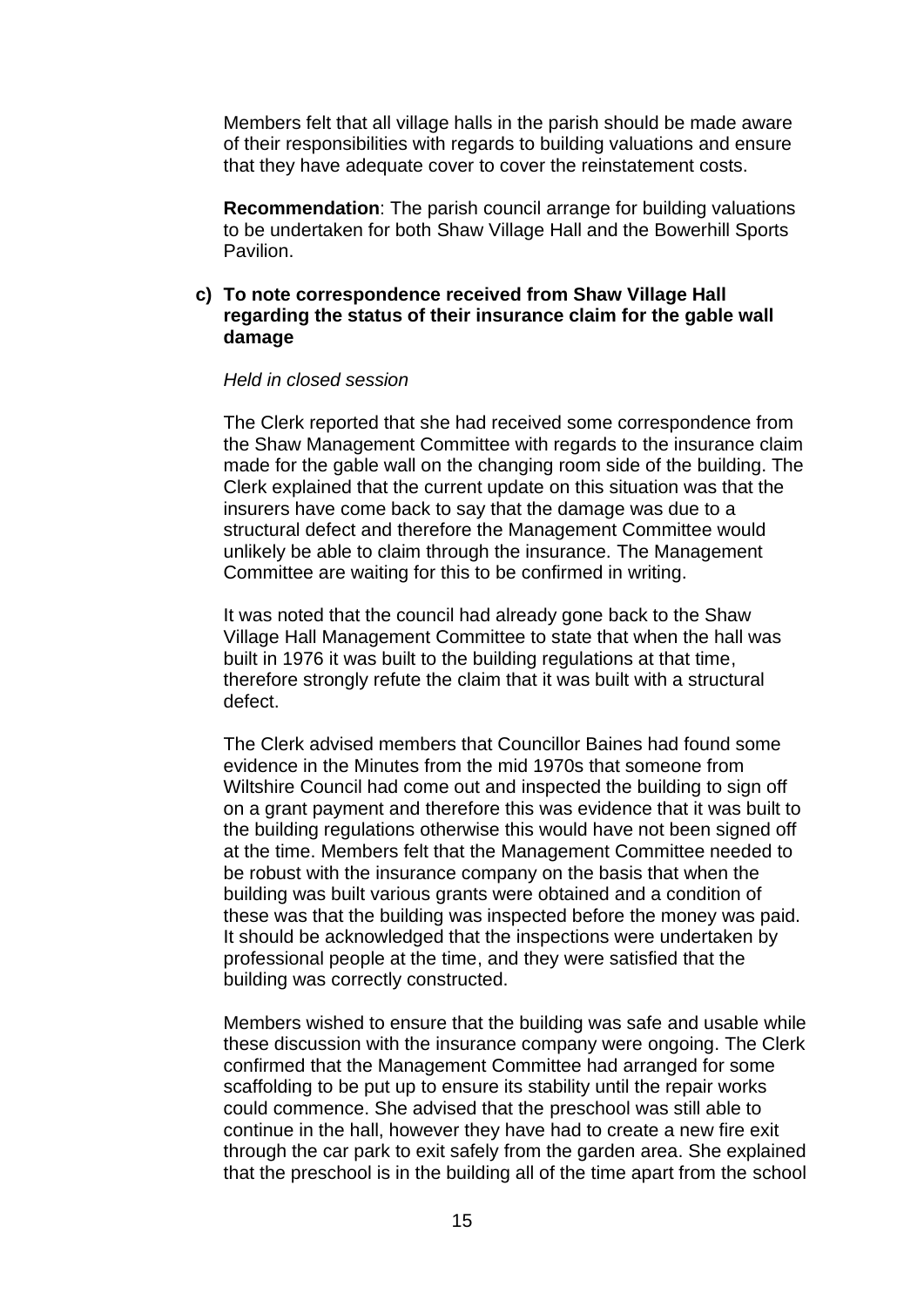Members felt that all village halls in the parish should be made aware of their responsibilities with regards to building valuations and ensure that they have adequate cover to cover the reinstatement costs.

**Recommendation**: The parish council arrange for building valuations to be undertaken for both Shaw Village Hall and the Bowerhill Sports Pavilion.

# **c) To note correspondence received from Shaw Village Hall regarding the status of their insurance claim for the gable wall damage**

#### *Held in closed session*

The Clerk reported that she had received some correspondence from the Shaw Management Committee with regards to the insurance claim made for the gable wall on the changing room side of the building. The Clerk explained that the current update on this situation was that the insurers have come back to say that the damage was due to a structural defect and therefore the Management Committee would unlikely be able to claim through the insurance. The Management Committee are waiting for this to be confirmed in writing.

It was noted that the council had already gone back to the Shaw Village Hall Management Committee to state that when the hall was built in 1976 it was built to the building regulations at that time, therefore strongly refute the claim that it was built with a structural defect.

The Clerk advised members that Councillor Baines had found some evidence in the Minutes from the mid 1970s that someone from Wiltshire Council had come out and inspected the building to sign off on a grant payment and therefore this was evidence that it was built to the building regulations otherwise this would have not been signed off at the time. Members felt that the Management Committee needed to be robust with the insurance company on the basis that when the building was built various grants were obtained and a condition of these was that the building was inspected before the money was paid. It should be acknowledged that the inspections were undertaken by professional people at the time, and they were satisfied that the building was correctly constructed.

Members wished to ensure that the building was safe and usable while these discussion with the insurance company were ongoing. The Clerk confirmed that the Management Committee had arranged for some scaffolding to be put up to ensure its stability until the repair works could commence. She advised that the preschool was still able to continue in the hall, however they have had to create a new fire exit through the car park to exit safely from the garden area. She explained that the preschool is in the building all of the time apart from the school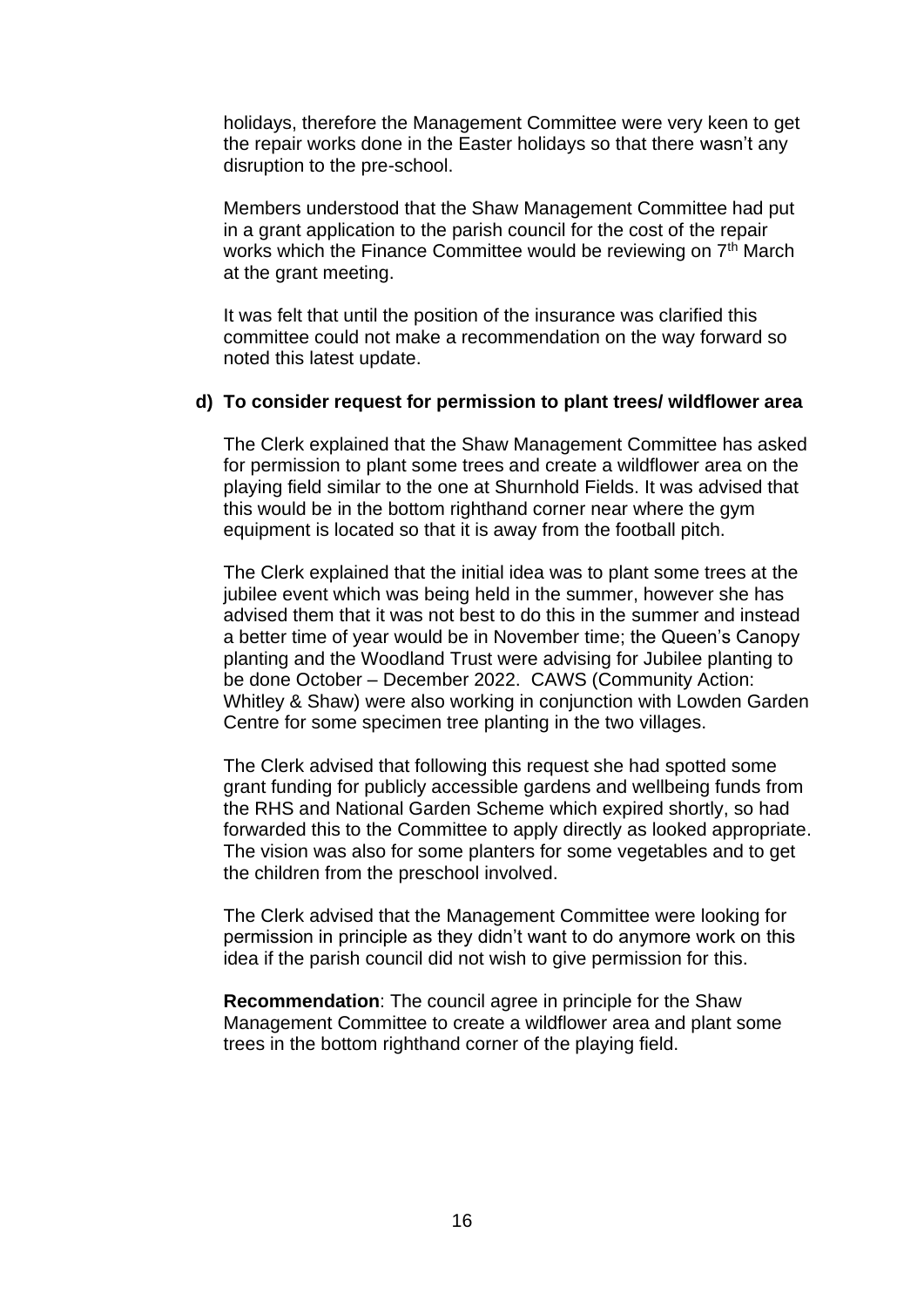holidays, therefore the Management Committee were very keen to get the repair works done in the Easter holidays so that there wasn't any disruption to the pre-school.

Members understood that the Shaw Management Committee had put in a grant application to the parish council for the cost of the repair works which the Finance Committee would be reviewing on 7<sup>th</sup> March at the grant meeting.

It was felt that until the position of the insurance was clarified this committee could not make a recommendation on the way forward so noted this latest update.

## **d) To consider request for permission to plant trees/ wildflower area**

The Clerk explained that the Shaw Management Committee has asked for permission to plant some trees and create a wildflower area on the playing field similar to the one at Shurnhold Fields. It was advised that this would be in the bottom righthand corner near where the gym equipment is located so that it is away from the football pitch.

The Clerk explained that the initial idea was to plant some trees at the jubilee event which was being held in the summer, however she has advised them that it was not best to do this in the summer and instead a better time of year would be in November time; the Queen's Canopy planting and the Woodland Trust were advising for Jubilee planting to be done October – December 2022. CAWS (Community Action: Whitley & Shaw) were also working in conjunction with Lowden Garden Centre for some specimen tree planting in the two villages.

The Clerk advised that following this request she had spotted some grant funding for publicly accessible gardens and wellbeing funds from the RHS and National Garden Scheme which expired shortly, so had forwarded this to the Committee to apply directly as looked appropriate. The vision was also for some planters for some vegetables and to get the children from the preschool involved.

The Clerk advised that the Management Committee were looking for permission in principle as they didn't want to do anymore work on this idea if the parish council did not wish to give permission for this.

**Recommendation**: The council agree in principle for the Shaw Management Committee to create a wildflower area and plant some trees in the bottom righthand corner of the playing field.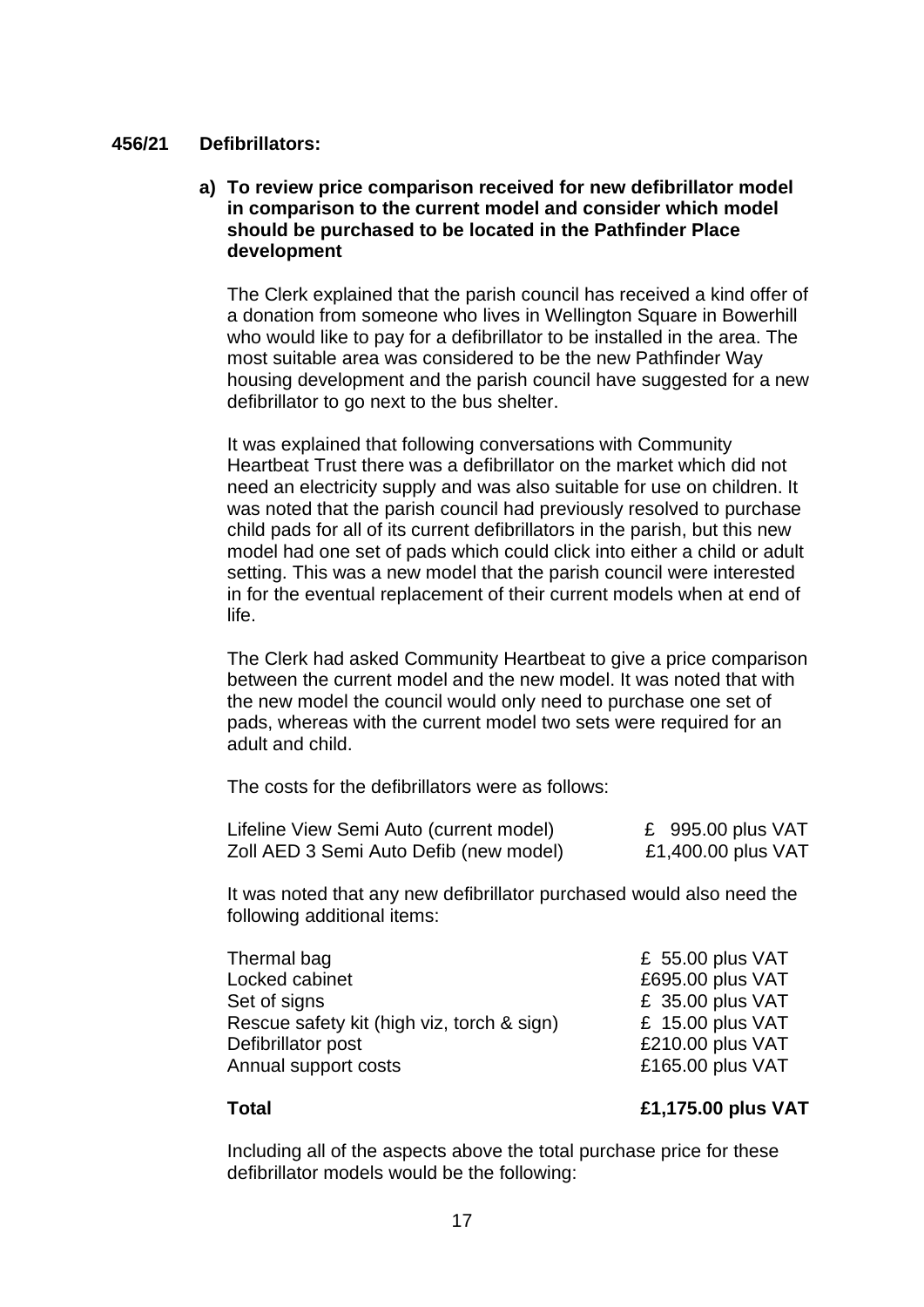# **456/21 Defibrillators:**

# **a) To review price comparison received for new defibrillator model in comparison to the current model and consider which model should be purchased to be located in the Pathfinder Place development**

The Clerk explained that the parish council has received a kind offer of a donation from someone who lives in Wellington Square in Bowerhill who would like to pay for a defibrillator to be installed in the area. The most suitable area was considered to be the new Pathfinder Way housing development and the parish council have suggested for a new defibrillator to go next to the bus shelter.

It was explained that following conversations with Community Heartbeat Trust there was a defibrillator on the market which did not need an electricity supply and was also suitable for use on children. It was noted that the parish council had previously resolved to purchase child pads for all of its current defibrillators in the parish, but this new model had one set of pads which could click into either a child or adult setting. This was a new model that the parish council were interested in for the eventual replacement of their current models when at end of life.

The Clerk had asked Community Heartbeat to give a price comparison between the current model and the new model. It was noted that with the new model the council would only need to purchase one set of pads, whereas with the current model two sets were required for an adult and child.

The costs for the defibrillators were as follows:

| Lifeline View Semi Auto (current model) | £ $995.00$ plus VAT |
|-----------------------------------------|---------------------|
| Zoll AED 3 Semi Auto Defib (new model)  | £1,400.00 plus VAT  |

It was noted that any new defibrillator purchased would also need the following additional items:

| Thermal bag                                | £ 55.00 plus $VAT$ |
|--------------------------------------------|--------------------|
| Locked cabinet                             | £695.00 plus VAT   |
| Set of signs                               | £ 35.00 plus VAT   |
| Rescue safety kit (high viz, torch & sign) | £ 15.00 plus $VAT$ |
| Defibrillator post                         | £210.00 plus VAT   |
| Annual support costs                       | £165.00 plus VAT   |

# **Total £1,175.00 plus VAT**

Including all of the aspects above the total purchase price for these defibrillator models would be the following: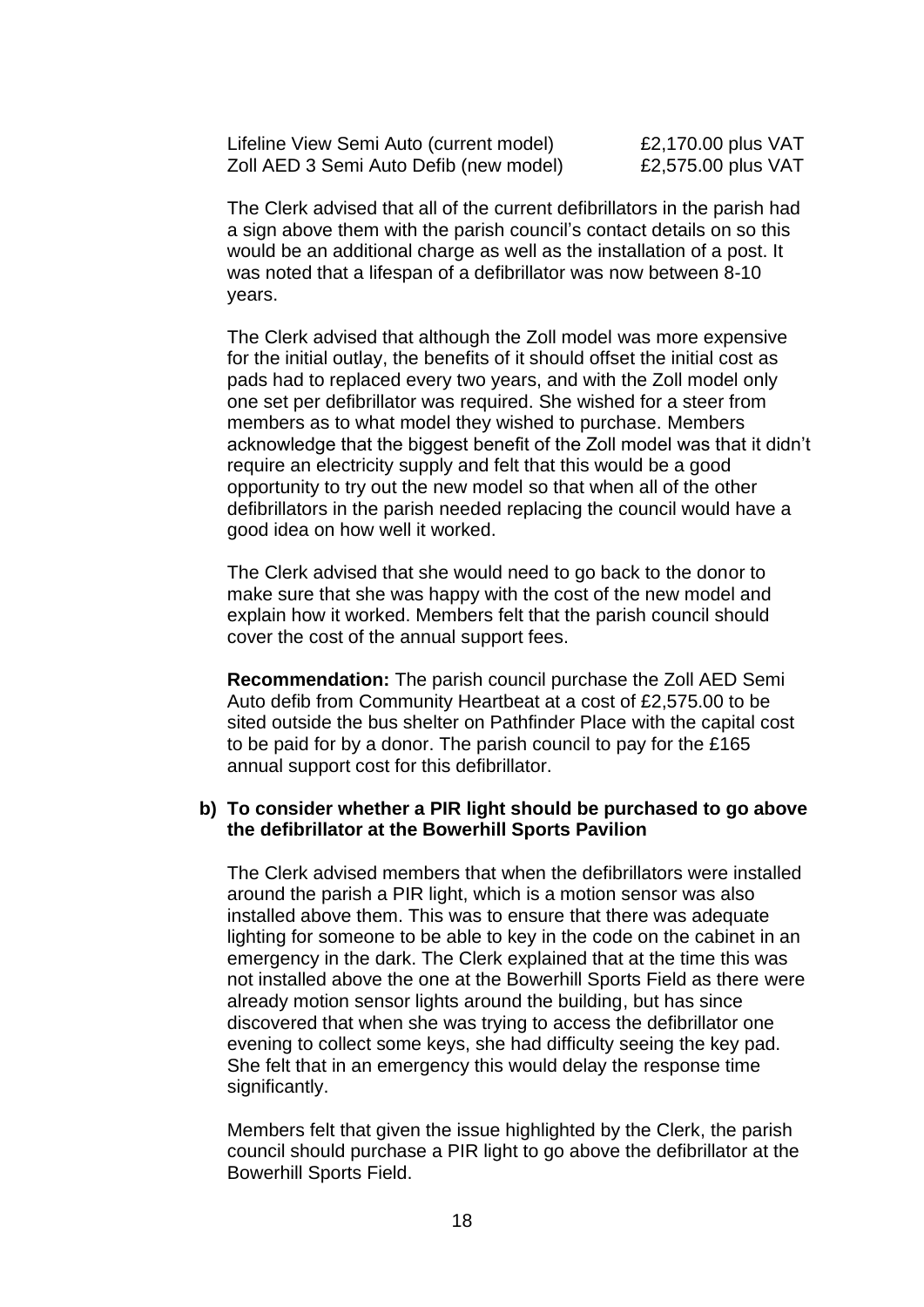Lifeline View Semi Auto (current model)  $E2,170.00$  plus VAT Zoll AED 3 Semi Auto Defib (new model)  $\qquad 2.575.00$  plus VAT

The Clerk advised that all of the current defibrillators in the parish had a sign above them with the parish council's contact details on so this would be an additional charge as well as the installation of a post. It was noted that a lifespan of a defibrillator was now between 8-10 years.

The Clerk advised that although the Zoll model was more expensive for the initial outlay, the benefits of it should offset the initial cost as pads had to replaced every two years, and with the Zoll model only one set per defibrillator was required. She wished for a steer from members as to what model they wished to purchase. Members acknowledge that the biggest benefit of the Zoll model was that it didn't require an electricity supply and felt that this would be a good opportunity to try out the new model so that when all of the other defibrillators in the parish needed replacing the council would have a good idea on how well it worked.

The Clerk advised that she would need to go back to the donor to make sure that she was happy with the cost of the new model and explain how it worked. Members felt that the parish council should cover the cost of the annual support fees.

**Recommendation:** The parish council purchase the Zoll AED Semi Auto defib from Community Heartbeat at a cost of £2,575.00 to be sited outside the bus shelter on Pathfinder Place with the capital cost to be paid for by a donor. The parish council to pay for the £165 annual support cost for this defibrillator.

# **b) To consider whether a PIR light should be purchased to go above the defibrillator at the Bowerhill Sports Pavilion**

The Clerk advised members that when the defibrillators were installed around the parish a PIR light, which is a motion sensor was also installed above them. This was to ensure that there was adequate lighting for someone to be able to key in the code on the cabinet in an emergency in the dark. The Clerk explained that at the time this was not installed above the one at the Bowerhill Sports Field as there were already motion sensor lights around the building, but has since discovered that when she was trying to access the defibrillator one evening to collect some keys, she had difficulty seeing the key pad. She felt that in an emergency this would delay the response time significantly.

Members felt that given the issue highlighted by the Clerk, the parish council should purchase a PIR light to go above the defibrillator at the Bowerhill Sports Field.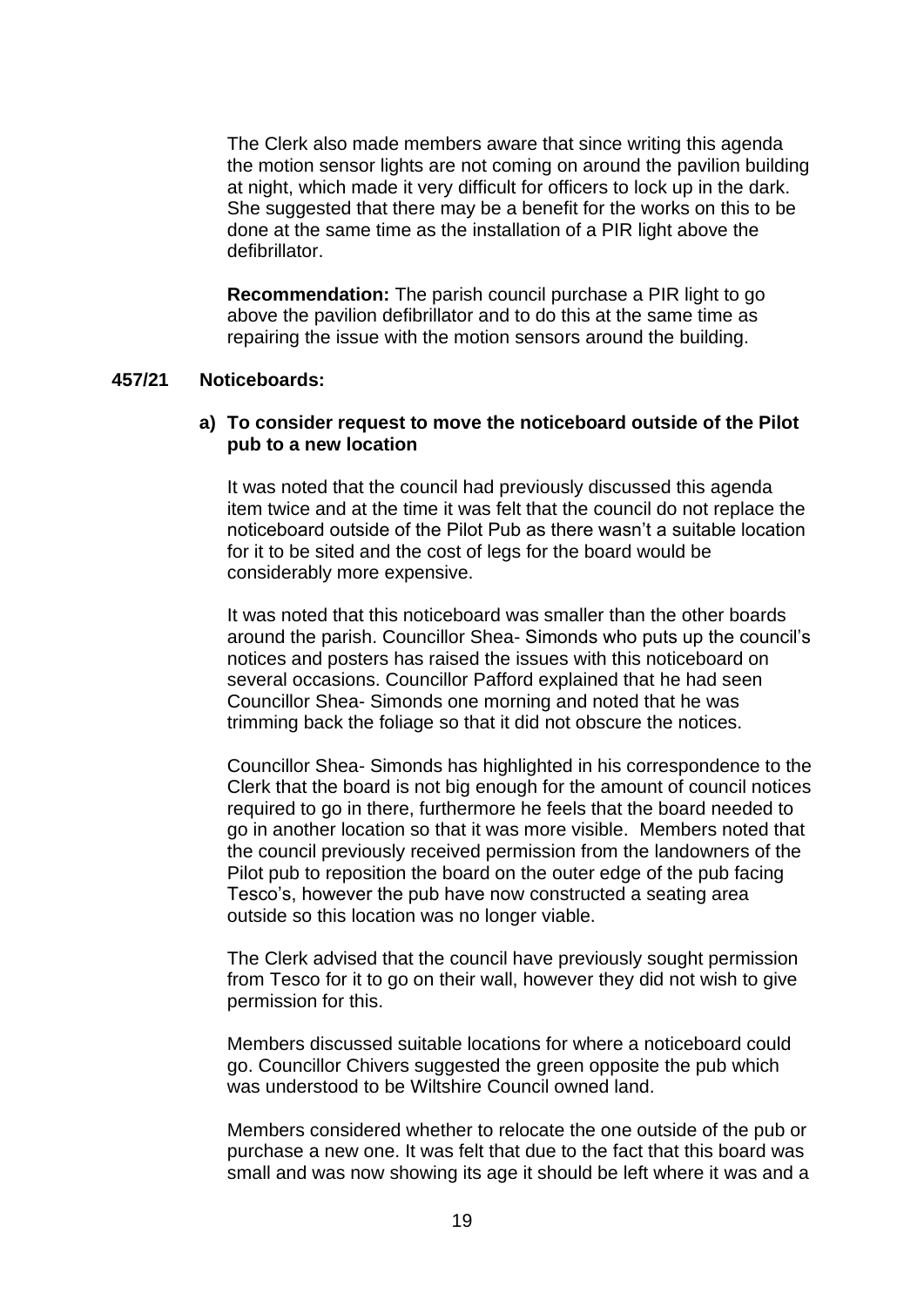The Clerk also made members aware that since writing this agenda the motion sensor lights are not coming on around the pavilion building at night, which made it very difficult for officers to lock up in the dark. She suggested that there may be a benefit for the works on this to be done at the same time as the installation of a PIR light above the defibrillator.

**Recommendation:** The parish council purchase a PIR light to go above the pavilion defibrillator and to do this at the same time as repairing the issue with the motion sensors around the building.

## **457/21 Noticeboards:**

# **a) To consider request to move the noticeboard outside of the Pilot pub to a new location**

It was noted that the council had previously discussed this agenda item twice and at the time it was felt that the council do not replace the noticeboard outside of the Pilot Pub as there wasn't a suitable location for it to be sited and the cost of legs for the board would be considerably more expensive.

It was noted that this noticeboard was smaller than the other boards around the parish. Councillor Shea- Simonds who puts up the council's notices and posters has raised the issues with this noticeboard on several occasions. Councillor Pafford explained that he had seen Councillor Shea- Simonds one morning and noted that he was trimming back the foliage so that it did not obscure the notices.

Councillor Shea- Simonds has highlighted in his correspondence to the Clerk that the board is not big enough for the amount of council notices required to go in there, furthermore he feels that the board needed to go in another location so that it was more visible. Members noted that the council previously received permission from the landowners of the Pilot pub to reposition the board on the outer edge of the pub facing Tesco's, however the pub have now constructed a seating area outside so this location was no longer viable.

The Clerk advised that the council have previously sought permission from Tesco for it to go on their wall, however they did not wish to give permission for this.

Members discussed suitable locations for where a noticeboard could go. Councillor Chivers suggested the green opposite the pub which was understood to be Wiltshire Council owned land.

Members considered whether to relocate the one outside of the pub or purchase a new one. It was felt that due to the fact that this board was small and was now showing its age it should be left where it was and a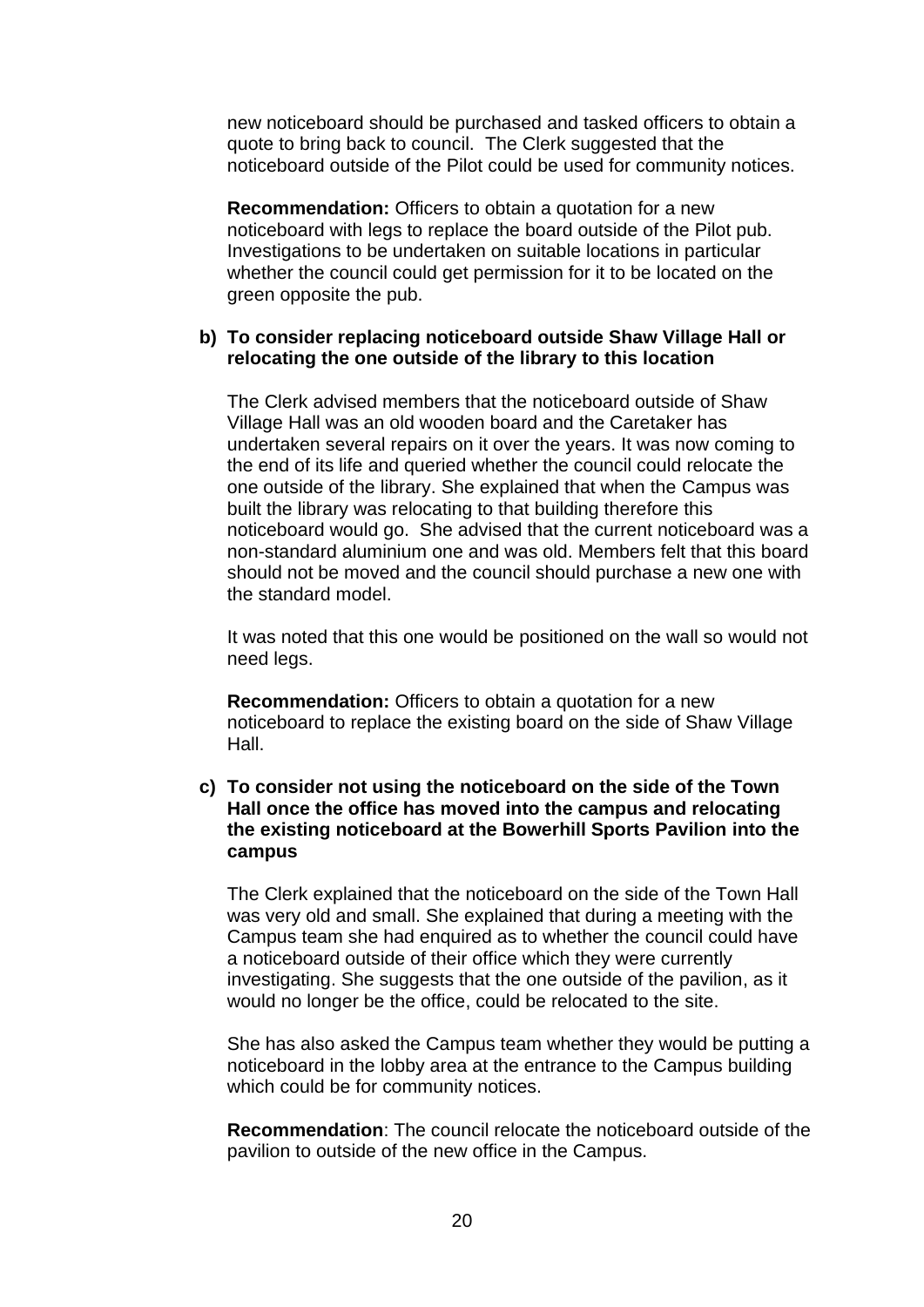new noticeboard should be purchased and tasked officers to obtain a quote to bring back to council. The Clerk suggested that the noticeboard outside of the Pilot could be used for community notices.

**Recommendation:** Officers to obtain a quotation for a new noticeboard with legs to replace the board outside of the Pilot pub. Investigations to be undertaken on suitable locations in particular whether the council could get permission for it to be located on the green opposite the pub.

# **b) To consider replacing noticeboard outside Shaw Village Hall or relocating the one outside of the library to this location**

The Clerk advised members that the noticeboard outside of Shaw Village Hall was an old wooden board and the Caretaker has undertaken several repairs on it over the years. It was now coming to the end of its life and queried whether the council could relocate the one outside of the library. She explained that when the Campus was built the library was relocating to that building therefore this noticeboard would go. She advised that the current noticeboard was a non-standard aluminium one and was old. Members felt that this board should not be moved and the council should purchase a new one with the standard model.

It was noted that this one would be positioned on the wall so would not need legs.

**Recommendation:** Officers to obtain a quotation for a new noticeboard to replace the existing board on the side of Shaw Village Hall.

# **c) To consider not using the noticeboard on the side of the Town Hall once the office has moved into the campus and relocating the existing noticeboard at the Bowerhill Sports Pavilion into the campus**

The Clerk explained that the noticeboard on the side of the Town Hall was very old and small. She explained that during a meeting with the Campus team she had enquired as to whether the council could have a noticeboard outside of their office which they were currently investigating. She suggests that the one outside of the pavilion, as it would no longer be the office, could be relocated to the site.

She has also asked the Campus team whether they would be putting a noticeboard in the lobby area at the entrance to the Campus building which could be for community notices.

**Recommendation**: The council relocate the noticeboard outside of the pavilion to outside of the new office in the Campus.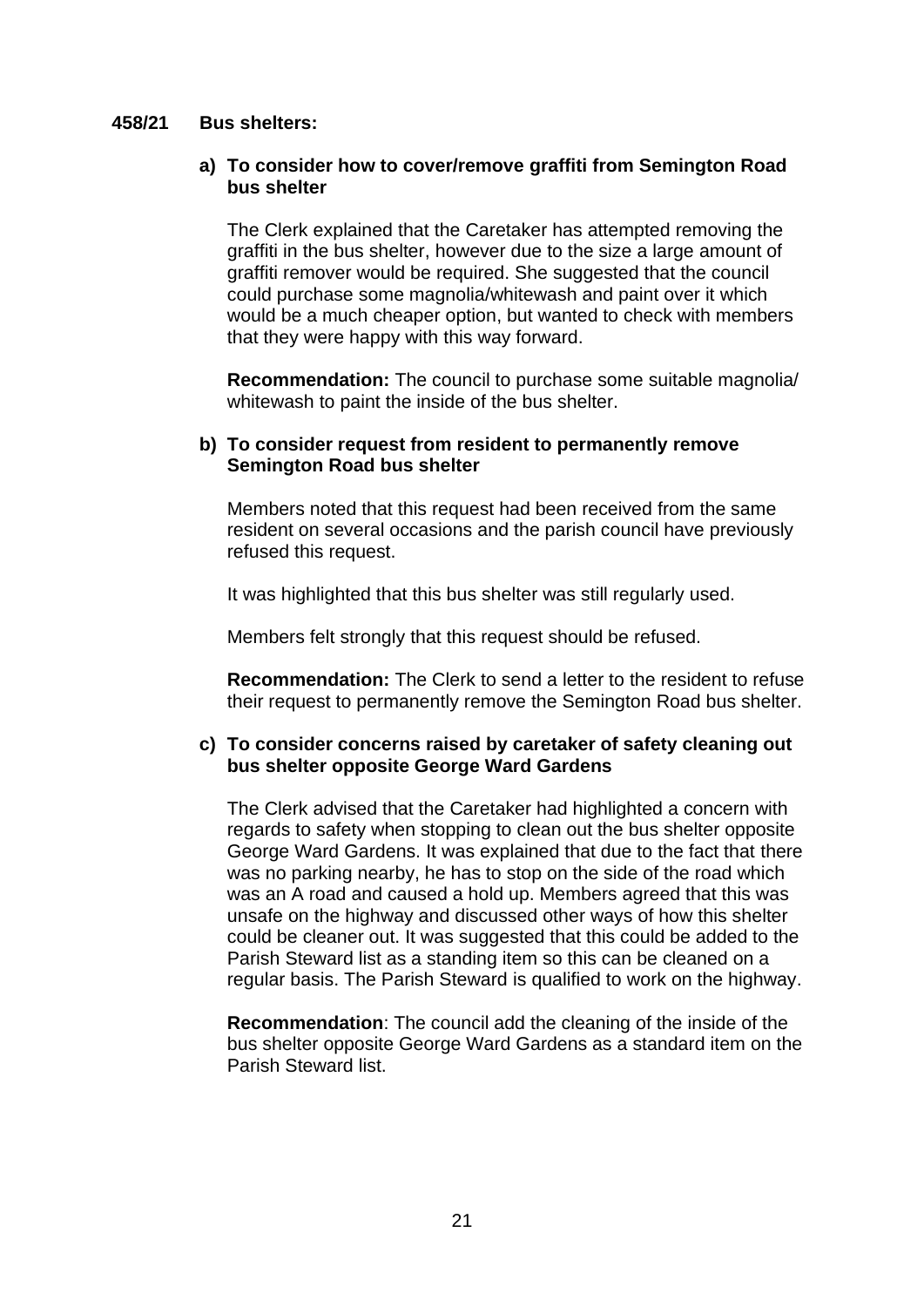## **458/21 Bus shelters:**

## **a) To consider how to cover/remove graffiti from Semington Road bus shelter**

The Clerk explained that the Caretaker has attempted removing the graffiti in the bus shelter, however due to the size a large amount of graffiti remover would be required. She suggested that the council could purchase some magnolia/whitewash and paint over it which would be a much cheaper option, but wanted to check with members that they were happy with this way forward.

**Recommendation:** The council to purchase some suitable magnolia/ whitewash to paint the inside of the bus shelter.

## **b) To consider request from resident to permanently remove Semington Road bus shelter**

Members noted that this request had been received from the same resident on several occasions and the parish council have previously refused this request.

It was highlighted that this bus shelter was still regularly used.

Members felt strongly that this request should be refused.

**Recommendation:** The Clerk to send a letter to the resident to refuse their request to permanently remove the Semington Road bus shelter.

## **c) To consider concerns raised by caretaker of safety cleaning out bus shelter opposite George Ward Gardens**

The Clerk advised that the Caretaker had highlighted a concern with regards to safety when stopping to clean out the bus shelter opposite George Ward Gardens. It was explained that due to the fact that there was no parking nearby, he has to stop on the side of the road which was an A road and caused a hold up. Members agreed that this was unsafe on the highway and discussed other ways of how this shelter could be cleaner out. It was suggested that this could be added to the Parish Steward list as a standing item so this can be cleaned on a regular basis. The Parish Steward is qualified to work on the highway.

**Recommendation**: The council add the cleaning of the inside of the bus shelter opposite George Ward Gardens as a standard item on the Parish Steward list.